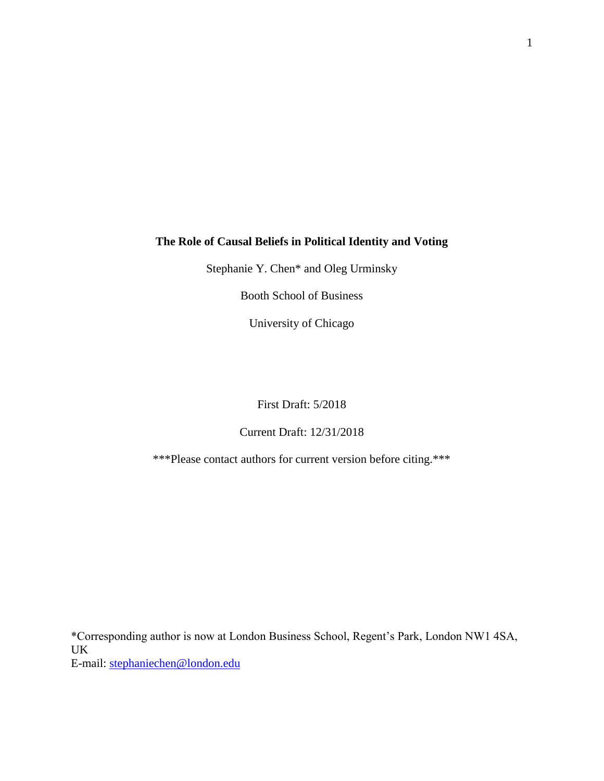## **The Role of Causal Beliefs in Political Identity and Voting**

Stephanie Y. Chen\* and Oleg Urminsky

Booth School of Business

University of Chicago

## First Draft: 5/2018

## Current Draft: 12/31/2018

\*\*\*Please contact authors for current version before citing.\*\*\*

\*Corresponding author is now at London Business School, Regent's Park, London NW1 4SA, UK E-mail: [stephaniechen@london.edu](mailto:stephaniechen@london.edu)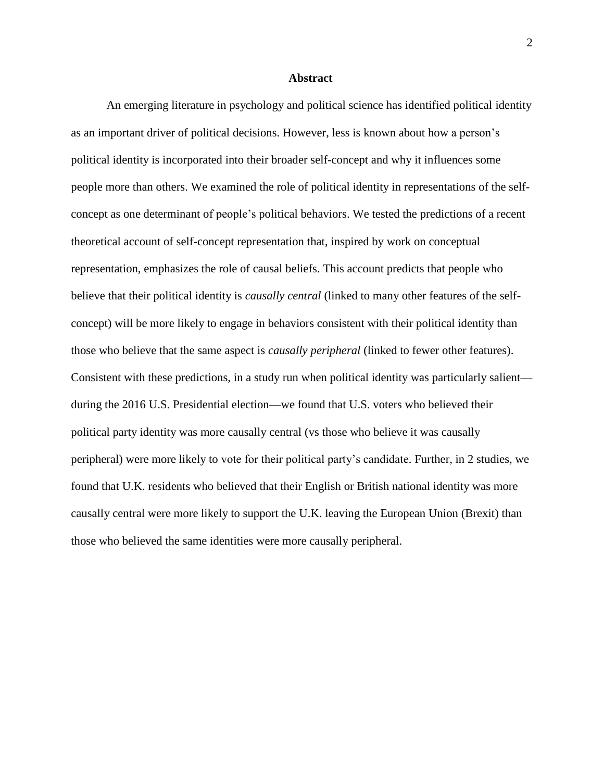### **Abstract**

An emerging literature in psychology and political science has identified political identity as an important driver of political decisions. However, less is known about how a person's political identity is incorporated into their broader self-concept and why it influences some people more than others. We examined the role of political identity in representations of the selfconcept as one determinant of people's political behaviors. We tested the predictions of a recent theoretical account of self-concept representation that, inspired by work on conceptual representation, emphasizes the role of causal beliefs. This account predicts that people who believe that their political identity is *causally central* (linked to many other features of the selfconcept) will be more likely to engage in behaviors consistent with their political identity than those who believe that the same aspect is *causally peripheral* (linked to fewer other features). Consistent with these predictions, in a study run when political identity was particularly salient during the 2016 U.S. Presidential election—we found that U.S. voters who believed their political party identity was more causally central (vs those who believe it was causally peripheral) were more likely to vote for their political party's candidate. Further, in 2 studies, we found that U.K. residents who believed that their English or British national identity was more causally central were more likely to support the U.K. leaving the European Union (Brexit) than those who believed the same identities were more causally peripheral.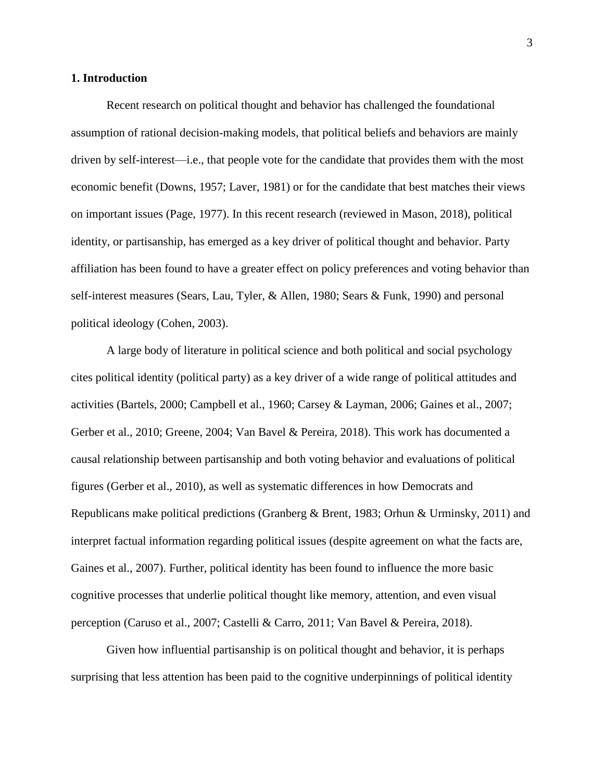### **1. Introduction**

Recent research on political thought and behavior has challenged the foundational assumption of rational decision-making models, that political beliefs and behaviors are mainly driven by self-interest—i.e., that people vote for the candidate that provides them with the most economic benefit (Downs, 1957; Laver, 1981) or for the candidate that best matches their views on important issues (Page, 1977). In this recent research (reviewed in Mason, 2018), political identity, or partisanship, has emerged as a key driver of political thought and behavior. Party affiliation has been found to have a greater effect on policy preferences and voting behavior than self-interest measures (Sears, Lau, Tyler, & Allen, 1980; Sears & Funk, 1990) and personal political ideology (Cohen, 2003).

A large body of literature in political science and both political and social psychology cites political identity (political party) as a key driver of a wide range of political attitudes and activities (Bartels, 2000; Campbell et al., 1960; Carsey & Layman, 2006; Gaines et al., 2007; Gerber et al., 2010; Greene, 2004; Van Bavel & Pereira, 2018). This work has documented a causal relationship between partisanship and both voting behavior and evaluations of political figures (Gerber et al., 2010), as well as systematic differences in how Democrats and Republicans make political predictions (Granberg & Brent, 1983; Orhun & Urminsky, 2011) and interpret factual information regarding political issues (despite agreement on what the facts are, Gaines et al., 2007). Further, political identity has been found to influence the more basic cognitive processes that underlie political thought like memory, attention, and even visual perception (Caruso et al., 2007; Castelli & Carro, 2011; Van Bavel & Pereira, 2018).

Given how influential partisanship is on political thought and behavior, it is perhaps surprising that less attention has been paid to the cognitive underpinnings of political identity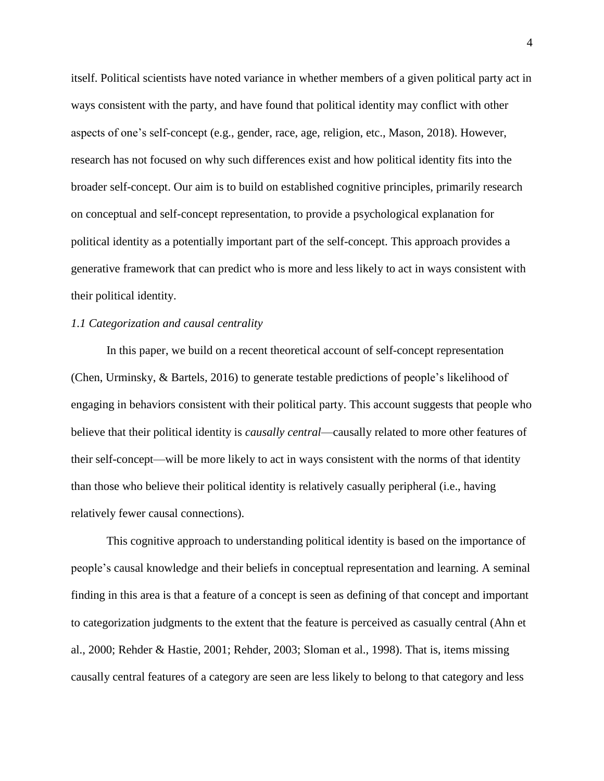itself. Political scientists have noted variance in whether members of a given political party act in ways consistent with the party, and have found that political identity may conflict with other aspects of one's self-concept (e.g., gender, race, age, religion, etc., Mason, 2018). However, research has not focused on why such differences exist and how political identity fits into the broader self-concept. Our aim is to build on established cognitive principles, primarily research on conceptual and self-concept representation, to provide a psychological explanation for political identity as a potentially important part of the self-concept. This approach provides a generative framework that can predict who is more and less likely to act in ways consistent with their political identity.

### *1.1 Categorization and causal centrality*

In this paper, we build on a recent theoretical account of self-concept representation (Chen, Urminsky, & Bartels, 2016) to generate testable predictions of people's likelihood of engaging in behaviors consistent with their political party. This account suggests that people who believe that their political identity is *causally central*—causally related to more other features of their self-concept—will be more likely to act in ways consistent with the norms of that identity than those who believe their political identity is relatively casually peripheral (i.e., having relatively fewer causal connections).

This cognitive approach to understanding political identity is based on the importance of people's causal knowledge and their beliefs in conceptual representation and learning. A seminal finding in this area is that a feature of a concept is seen as defining of that concept and important to categorization judgments to the extent that the feature is perceived as casually central (Ahn et al., 2000; Rehder & Hastie, 2001; Rehder, 2003; Sloman et al., 1998). That is, items missing causally central features of a category are seen are less likely to belong to that category and less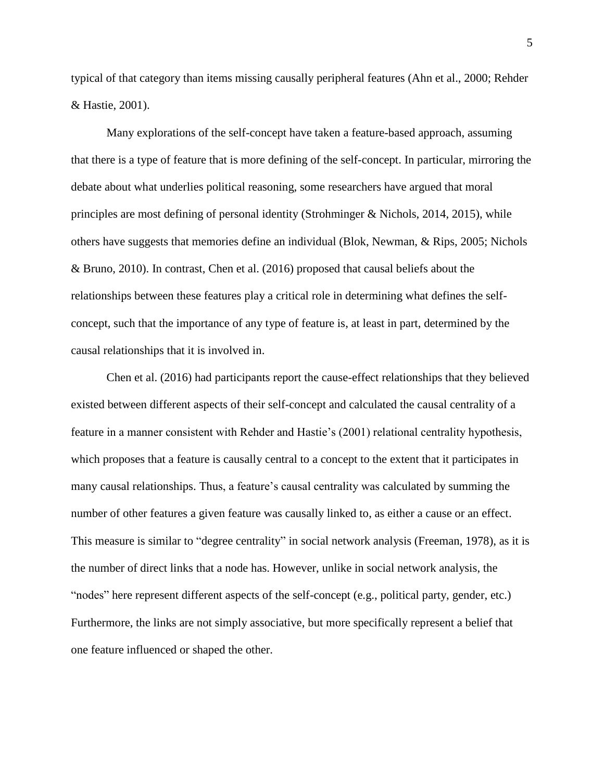typical of that category than items missing causally peripheral features (Ahn et al., 2000; Rehder & Hastie, 2001).

Many explorations of the self-concept have taken a feature-based approach, assuming that there is a type of feature that is more defining of the self-concept. In particular, mirroring the debate about what underlies political reasoning, some researchers have argued that moral principles are most defining of personal identity (Strohminger & Nichols, 2014, 2015), while others have suggests that memories define an individual (Blok, Newman, & Rips, 2005; Nichols & Bruno, 2010). In contrast, Chen et al. (2016) proposed that causal beliefs about the relationships between these features play a critical role in determining what defines the selfconcept, such that the importance of any type of feature is, at least in part, determined by the causal relationships that it is involved in.

Chen et al. (2016) had participants report the cause-effect relationships that they believed existed between different aspects of their self-concept and calculated the causal centrality of a feature in a manner consistent with Rehder and Hastie's (2001) relational centrality hypothesis, which proposes that a feature is causally central to a concept to the extent that it participates in many causal relationships. Thus, a feature's causal centrality was calculated by summing the number of other features a given feature was causally linked to, as either a cause or an effect. This measure is similar to "degree centrality" in social network analysis (Freeman, 1978), as it is the number of direct links that a node has. However, unlike in social network analysis, the "nodes" here represent different aspects of the self-concept (e.g., political party, gender, etc.) Furthermore, the links are not simply associative, but more specifically represent a belief that one feature influenced or shaped the other.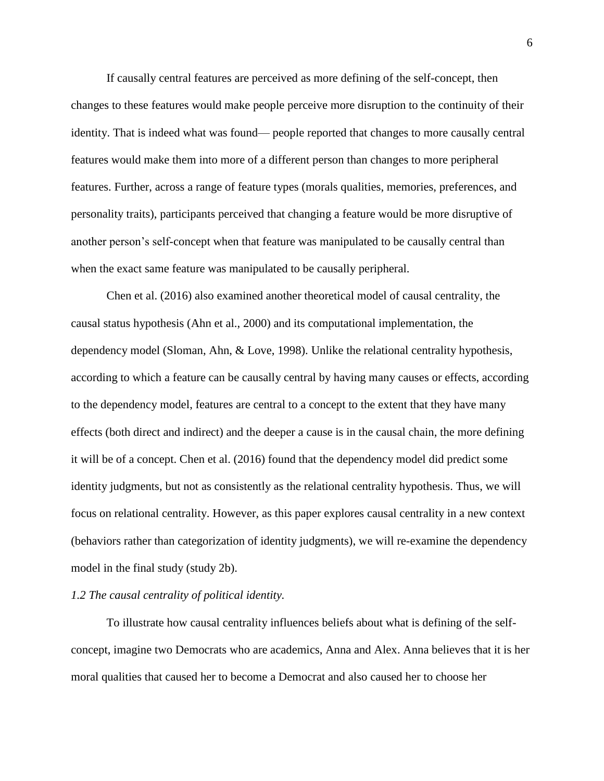If causally central features are perceived as more defining of the self-concept, then changes to these features would make people perceive more disruption to the continuity of their identity. That is indeed what was found— people reported that changes to more causally central features would make them into more of a different person than changes to more peripheral features. Further, across a range of feature types (morals qualities, memories, preferences, and personality traits), participants perceived that changing a feature would be more disruptive of another person's self-concept when that feature was manipulated to be causally central than when the exact same feature was manipulated to be causally peripheral.

Chen et al. (2016) also examined another theoretical model of causal centrality, the causal status hypothesis (Ahn et al., 2000) and its computational implementation, the dependency model (Sloman, Ahn, & Love, 1998). Unlike the relational centrality hypothesis, according to which a feature can be causally central by having many causes or effects, according to the dependency model, features are central to a concept to the extent that they have many effects (both direct and indirect) and the deeper a cause is in the causal chain, the more defining it will be of a concept. Chen et al. (2016) found that the dependency model did predict some identity judgments, but not as consistently as the relational centrality hypothesis. Thus, we will focus on relational centrality. However, as this paper explores causal centrality in a new context (behaviors rather than categorization of identity judgments), we will re-examine the dependency model in the final study (study 2b).

### *1.2 The causal centrality of political identity.*

To illustrate how causal centrality influences beliefs about what is defining of the selfconcept, imagine two Democrats who are academics, Anna and Alex. Anna believes that it is her moral qualities that caused her to become a Democrat and also caused her to choose her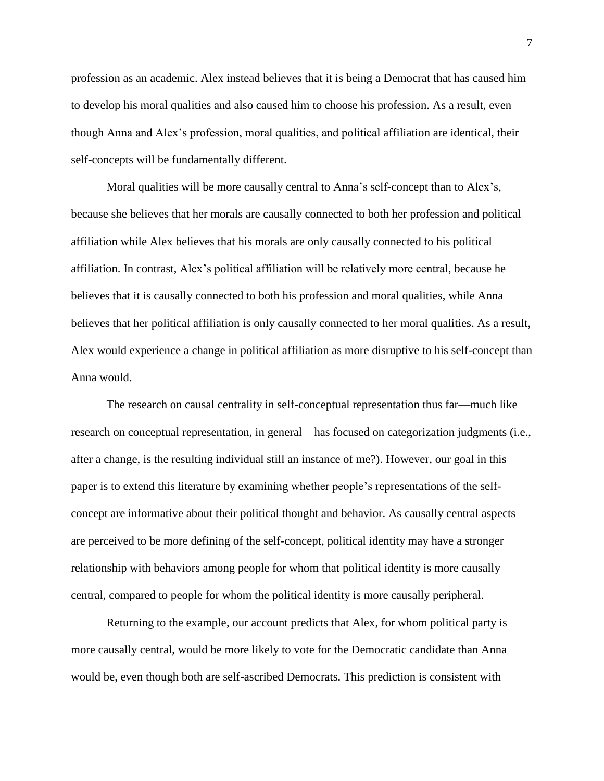profession as an academic. Alex instead believes that it is being a Democrat that has caused him to develop his moral qualities and also caused him to choose his profession. As a result, even though Anna and Alex's profession, moral qualities, and political affiliation are identical, their self-concepts will be fundamentally different.

Moral qualities will be more causally central to Anna's self-concept than to Alex's, because she believes that her morals are causally connected to both her profession and political affiliation while Alex believes that his morals are only causally connected to his political affiliation. In contrast, Alex's political affiliation will be relatively more central, because he believes that it is causally connected to both his profession and moral qualities, while Anna believes that her political affiliation is only causally connected to her moral qualities. As a result, Alex would experience a change in political affiliation as more disruptive to his self-concept than Anna would.

The research on causal centrality in self-conceptual representation thus far—much like research on conceptual representation, in general—has focused on categorization judgments (i.e., after a change, is the resulting individual still an instance of me?). However, our goal in this paper is to extend this literature by examining whether people's representations of the selfconcept are informative about their political thought and behavior. As causally central aspects are perceived to be more defining of the self-concept, political identity may have a stronger relationship with behaviors among people for whom that political identity is more causally central, compared to people for whom the political identity is more causally peripheral.

Returning to the example, our account predicts that Alex, for whom political party is more causally central, would be more likely to vote for the Democratic candidate than Anna would be, even though both are self-ascribed Democrats. This prediction is consistent with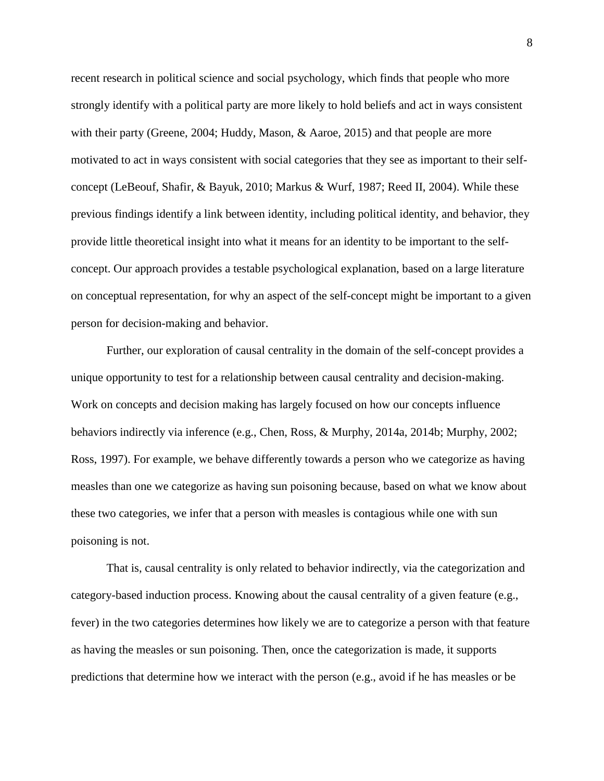recent research in political science and social psychology, which finds that people who more strongly identify with a political party are more likely to hold beliefs and act in ways consistent with their party (Greene, 2004; Huddy, Mason, & Aaroe, 2015) and that people are more motivated to act in ways consistent with social categories that they see as important to their selfconcept (LeBeouf, Shafir, & Bayuk, 2010; Markus & Wurf, 1987; Reed II, 2004). While these previous findings identify a link between identity, including political identity, and behavior, they provide little theoretical insight into what it means for an identity to be important to the selfconcept. Our approach provides a testable psychological explanation, based on a large literature on conceptual representation, for why an aspect of the self-concept might be important to a given person for decision-making and behavior.

Further, our exploration of causal centrality in the domain of the self-concept provides a unique opportunity to test for a relationship between causal centrality and decision-making. Work on concepts and decision making has largely focused on how our concepts influence behaviors indirectly via inference (e.g., Chen, Ross, & Murphy, 2014a, 2014b; Murphy, 2002; Ross, 1997). For example, we behave differently towards a person who we categorize as having measles than one we categorize as having sun poisoning because, based on what we know about these two categories, we infer that a person with measles is contagious while one with sun poisoning is not.

That is, causal centrality is only related to behavior indirectly, via the categorization and category-based induction process. Knowing about the causal centrality of a given feature (e.g., fever) in the two categories determines how likely we are to categorize a person with that feature as having the measles or sun poisoning. Then, once the categorization is made, it supports predictions that determine how we interact with the person (e.g., avoid if he has measles or be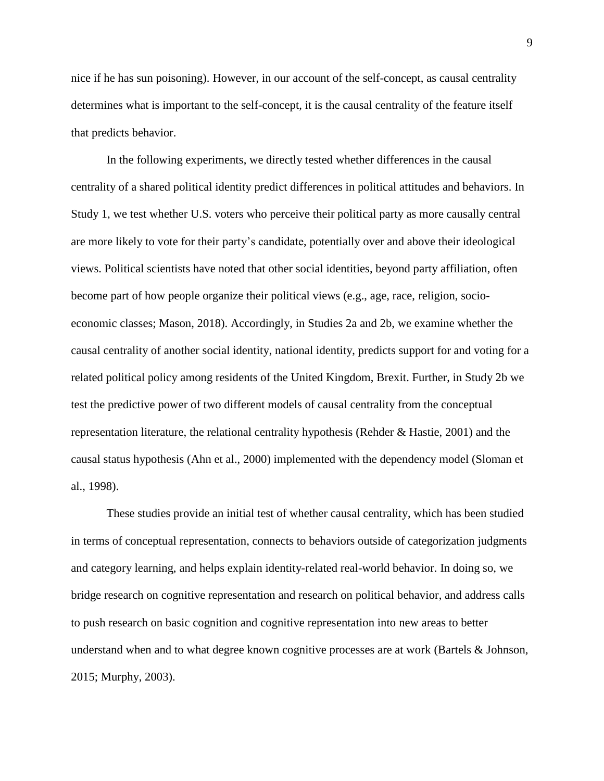nice if he has sun poisoning). However, in our account of the self-concept, as causal centrality determines what is important to the self-concept, it is the causal centrality of the feature itself that predicts behavior.

In the following experiments, we directly tested whether differences in the causal centrality of a shared political identity predict differences in political attitudes and behaviors. In Study 1, we test whether U.S. voters who perceive their political party as more causally central are more likely to vote for their party's candidate, potentially over and above their ideological views. Political scientists have noted that other social identities, beyond party affiliation, often become part of how people organize their political views (e.g., age, race, religion, socioeconomic classes; Mason, 2018). Accordingly, in Studies 2a and 2b, we examine whether the causal centrality of another social identity, national identity, predicts support for and voting for a related political policy among residents of the United Kingdom, Brexit. Further, in Study 2b we test the predictive power of two different models of causal centrality from the conceptual representation literature, the relational centrality hypothesis (Rehder & Hastie, 2001) and the causal status hypothesis (Ahn et al., 2000) implemented with the dependency model (Sloman et al., 1998).

These studies provide an initial test of whether causal centrality, which has been studied in terms of conceptual representation, connects to behaviors outside of categorization judgments and category learning, and helps explain identity-related real-world behavior. In doing so, we bridge research on cognitive representation and research on political behavior, and address calls to push research on basic cognition and cognitive representation into new areas to better understand when and to what degree known cognitive processes are at work (Bartels & Johnson, 2015; Murphy, 2003).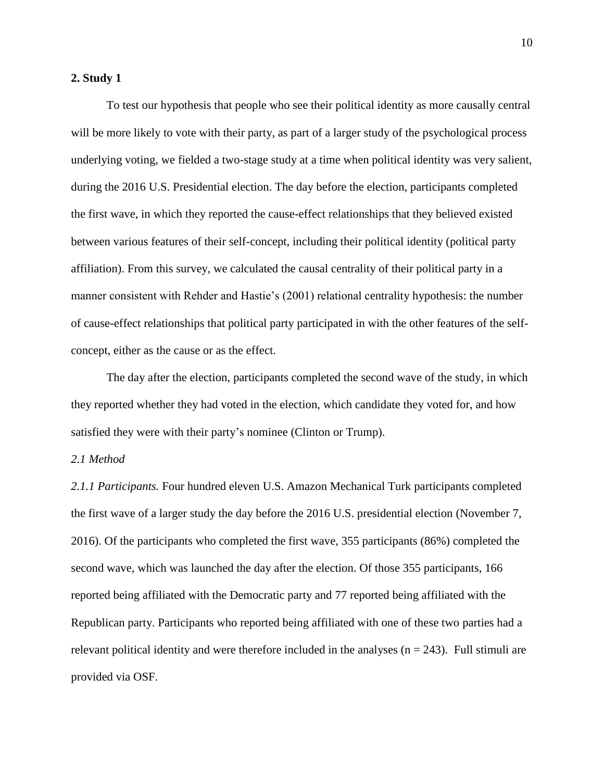### **2. Study 1**

To test our hypothesis that people who see their political identity as more causally central will be more likely to vote with their party, as part of a larger study of the psychological process underlying voting, we fielded a two-stage study at a time when political identity was very salient, during the 2016 U.S. Presidential election. The day before the election, participants completed the first wave, in which they reported the cause-effect relationships that they believed existed between various features of their self-concept, including their political identity (political party affiliation). From this survey, we calculated the causal centrality of their political party in a manner consistent with Rehder and Hastie's (2001) relational centrality hypothesis: the number of cause-effect relationships that political party participated in with the other features of the selfconcept, either as the cause or as the effect.

The day after the election, participants completed the second wave of the study, in which they reported whether they had voted in the election, which candidate they voted for, and how satisfied they were with their party's nominee (Clinton or Trump).

### *2.1 Method*

*2.1.1 Participants.* Four hundred eleven U.S. Amazon Mechanical Turk participants completed the first wave of a larger study the day before the 2016 U.S. presidential election (November 7, 2016). Of the participants who completed the first wave, 355 participants (86%) completed the second wave, which was launched the day after the election. Of those 355 participants, 166 reported being affiliated with the Democratic party and 77 reported being affiliated with the Republican party. Participants who reported being affiliated with one of these two parties had a relevant political identity and were therefore included in the analyses  $(n = 243)$ . Full stimuli are provided via OSF.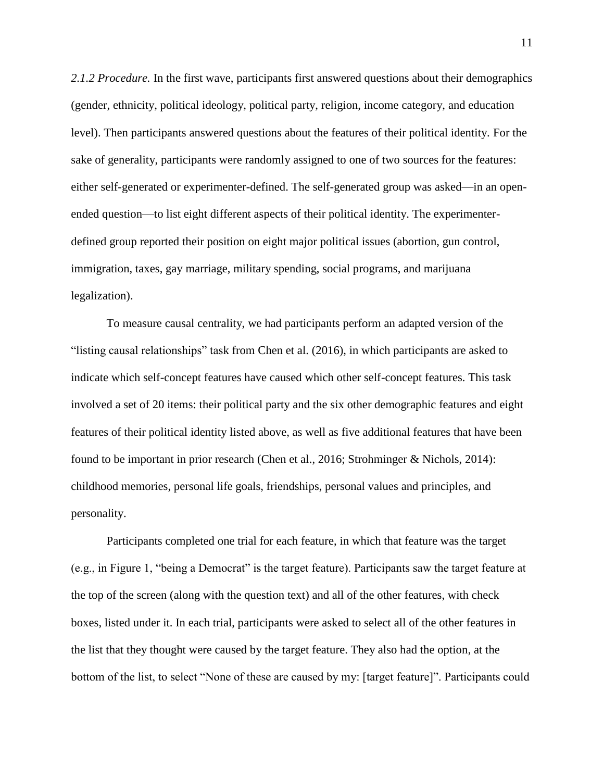*2.1.2 Procedure.* In the first wave, participants first answered questions about their demographics (gender, ethnicity, political ideology, political party, religion, income category, and education level). Then participants answered questions about the features of their political identity. For the sake of generality, participants were randomly assigned to one of two sources for the features: either self-generated or experimenter-defined. The self-generated group was asked—in an openended question—to list eight different aspects of their political identity. The experimenterdefined group reported their position on eight major political issues (abortion, gun control, immigration, taxes, gay marriage, military spending, social programs, and marijuana legalization).

To measure causal centrality, we had participants perform an adapted version of the "listing causal relationships" task from Chen et al. (2016), in which participants are asked to indicate which self-concept features have caused which other self-concept features. This task involved a set of 20 items: their political party and the six other demographic features and eight features of their political identity listed above, as well as five additional features that have been found to be important in prior research (Chen et al., 2016; Strohminger & Nichols, 2014): childhood memories, personal life goals, friendships, personal values and principles, and personality.

Participants completed one trial for each feature, in which that feature was the target (e.g., in Figure 1, "being a Democrat" is the target feature). Participants saw the target feature at the top of the screen (along with the question text) and all of the other features, with check boxes, listed under it. In each trial, participants were asked to select all of the other features in the list that they thought were caused by the target feature. They also had the option, at the bottom of the list, to select "None of these are caused by my: [target feature]". Participants could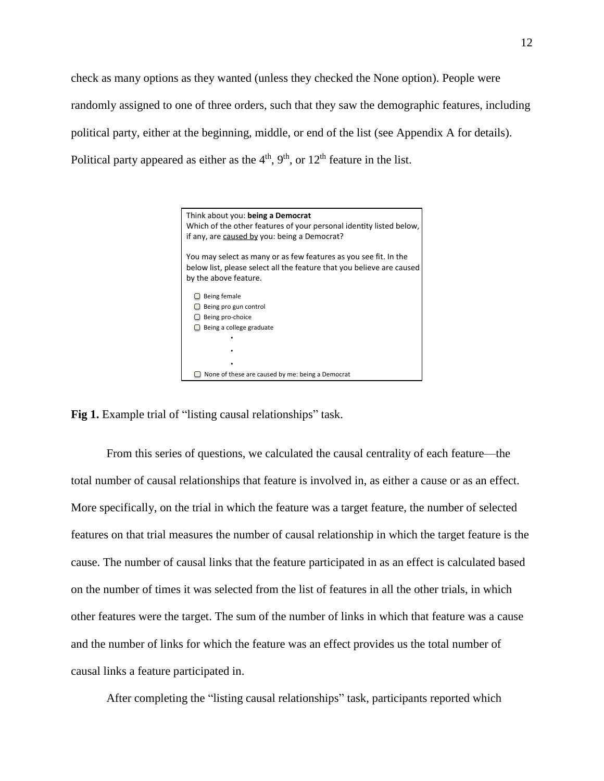check as many options as they wanted (unless they checked the None option). People were randomly assigned to one of three orders, such that they saw the demographic features, including political party, either at the beginning, middle, or end of the list (see Appendix A for details). Political party appeared as either as the  $4<sup>th</sup>$ ,  $9<sup>th</sup>$ , or  $12<sup>th</sup>$  feature in the list.



Fig 1. Example trial of "listing causal relationships" task.

From this series of questions, we calculated the causal centrality of each feature—the total number of causal relationships that feature is involved in, as either a cause or as an effect. More specifically, on the trial in which the feature was a target feature, the number of selected features on that trial measures the number of causal relationship in which the target feature is the cause. The number of causal links that the feature participated in as an effect is calculated based on the number of times it was selected from the list of features in all the other trials, in which other features were the target. The sum of the number of links in which that feature was a cause and the number of links for which the feature was an effect provides us the total number of causal links a feature participated in.

After completing the "listing causal relationships" task, participants reported which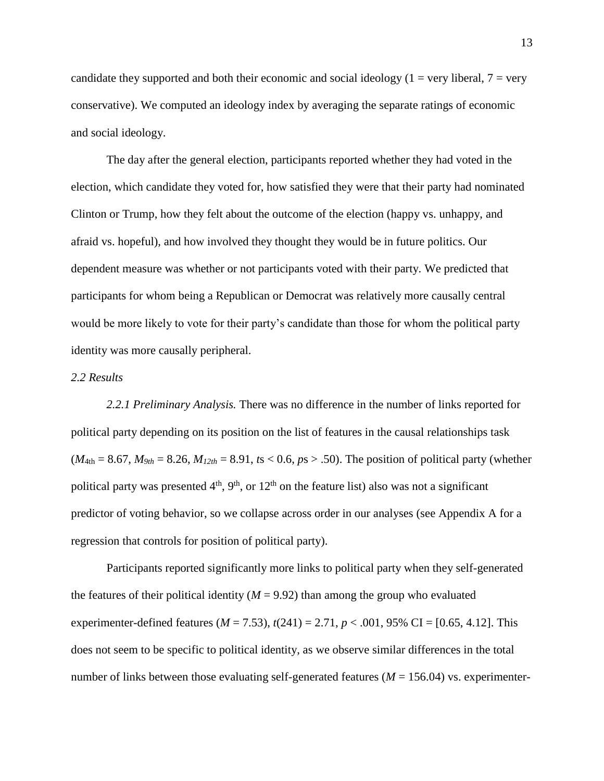candidate they supported and both their economic and social ideology ( $1 = \text{very liberal}$ ,  $7 = \text{very}$ ) conservative). We computed an ideology index by averaging the separate ratings of economic and social ideology.

The day after the general election, participants reported whether they had voted in the election, which candidate they voted for, how satisfied they were that their party had nominated Clinton or Trump, how they felt about the outcome of the election (happy vs. unhappy, and afraid vs. hopeful), and how involved they thought they would be in future politics. Our dependent measure was whether or not participants voted with their party. We predicted that participants for whom being a Republican or Democrat was relatively more causally central would be more likely to vote for their party's candidate than those for whom the political party identity was more causally peripheral.

### *2.2 Results*

*2.2.1 Preliminary Analysis.* There was no difference in the number of links reported for political party depending on its position on the list of features in the causal relationships task  $(M_{4th} = 8.67, M_{9th} = 8.26, M_{12th} = 8.91, t s < 0.6, p s > .50$ ). The position of political party (whether political party was presented  $4<sup>th</sup>$ ,  $9<sup>th</sup>$ , or  $12<sup>th</sup>$  on the feature list) also was not a significant predictor of voting behavior, so we collapse across order in our analyses (see Appendix A for a regression that controls for position of political party).

Participants reported significantly more links to political party when they self-generated the features of their political identity ( $M = 9.92$ ) than among the group who evaluated experimenter-defined features ( $M = 7.53$ ),  $t(241) = 2.71$ ,  $p < .001$ , 95% CI = [0.65, 4.12]. This does not seem to be specific to political identity, as we observe similar differences in the total number of links between those evaluating self-generated features ( $M = 156.04$ ) vs. experimenter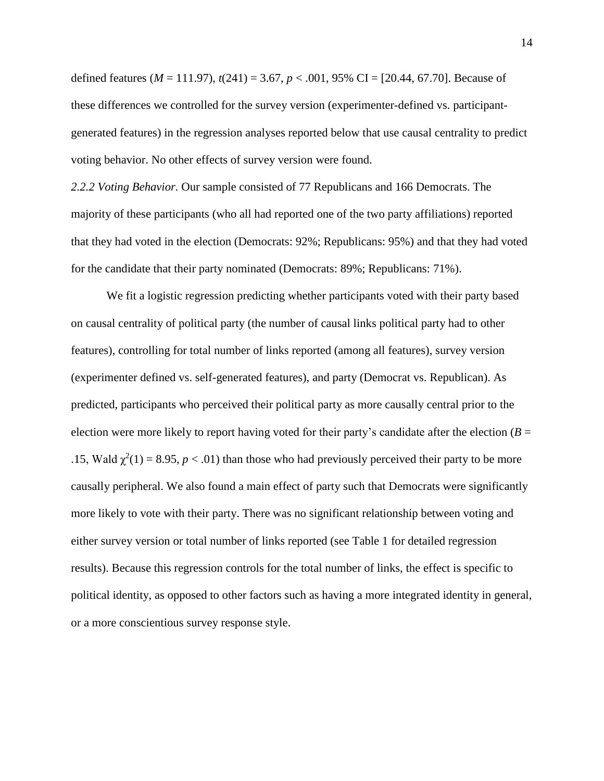defined features (*M* = 111.97), *t*(241) = 3.67, *p* < .001, 95% CI = [20.44, 67.70]. Because of these differences we controlled for the survey version (experimenter-defined vs. participantgenerated features) in the regression analyses reported below that use causal centrality to predict voting behavior. No other effects of survey version were found.

*2.2.2 Voting Behavior.* Our sample consisted of 77 Republicans and 166 Democrats. The majority of these participants (who all had reported one of the two party affiliations) reported that they had voted in the election (Democrats: 92%; Republicans: 95%) and that they had voted for the candidate that their party nominated (Democrats: 89%; Republicans: 71%).

We fit a logistic regression predicting whether participants voted with their party based on causal centrality of political party (the number of causal links political party had to other features), controlling for total number of links reported (among all features), survey version (experimenter defined vs. self-generated features), and party (Democrat vs. Republican). As predicted, participants who perceived their political party as more causally central prior to the election were more likely to report having voted for their party's candidate after the election ( $B =$ .15, Wald  $\chi^2(1) = 8.95$ ,  $p < .01$ ) than those who had previously perceived their party to be more causally peripheral. We also found a main effect of party such that Democrats were significantly more likely to vote with their party. There was no significant relationship between voting and either survey version or total number of links reported (see Table 1 for detailed regression results). Because this regression controls for the total number of links, the effect is specific to political identity, as opposed to other factors such as having a more integrated identity in general, or a more conscientious survey response style.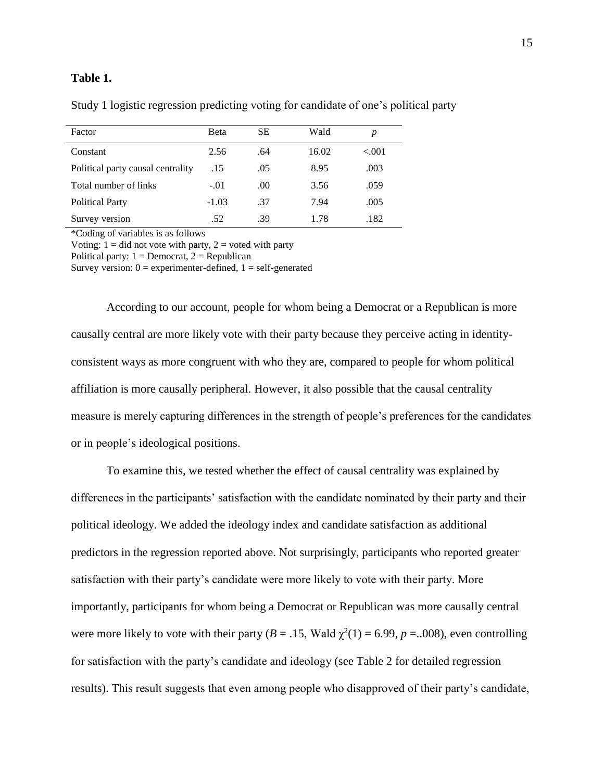### **Table 1.**

| Factor                            | <b>B</b> eta | SЕ   | Wald  | р        |
|-----------------------------------|--------------|------|-------|----------|
| Constant                          | 2.56         | .64  | 16.02 | ${<}001$ |
| Political party causal centrality | .15          | .05  | 8.95  | .003     |
| Total number of links             | $-.01$       | .00. | 3.56  | .059     |
| <b>Political Party</b>            | $-1.03$      | .37  | 7.94  | .005     |
| Survey version                    | .52          | .39  | 1.78  | .182     |

Study 1 logistic regression predicting voting for candidate of one's political party

\*Coding of variables is as follows

Voting:  $1 =$  did not vote with party,  $2 =$  voted with party Political party:  $1 =$  Democrat,  $2 =$  Republican

Survey version:  $0 =$  experimenter-defined,  $1 =$  self-generated

According to our account, people for whom being a Democrat or a Republican is more causally central are more likely vote with their party because they perceive acting in identityconsistent ways as more congruent with who they are, compared to people for whom political affiliation is more causally peripheral. However, it also possible that the causal centrality measure is merely capturing differences in the strength of people's preferences for the candidates or in people's ideological positions.

To examine this, we tested whether the effect of causal centrality was explained by differences in the participants' satisfaction with the candidate nominated by their party and their political ideology. We added the ideology index and candidate satisfaction as additional predictors in the regression reported above. Not surprisingly, participants who reported greater satisfaction with their party's candidate were more likely to vote with their party. More importantly, participants for whom being a Democrat or Republican was more causally central were more likely to vote with their party ( $B = .15$ , Wald  $\chi^2(1) = 6.99$ ,  $p = .008$ ), even controlling for satisfaction with the party's candidate and ideology (see Table 2 for detailed regression results). This result suggests that even among people who disapproved of their party's candidate,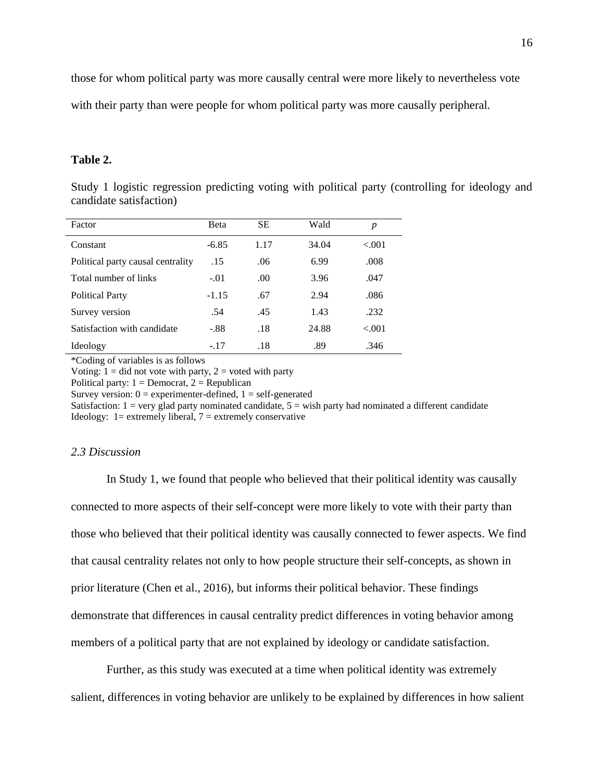those for whom political party was more causally central were more likely to nevertheless vote

with their party than were people for whom political party was more causally peripheral.

### **Table 2.**

Study 1 logistic regression predicting voting with political party (controlling for ideology and candidate satisfaction)

| Factor                            | Beta    | <b>SE</b> | Wald  | p      |
|-----------------------------------|---------|-----------|-------|--------|
| Constant                          | $-6.85$ | 1.17      | 34.04 | < 0.01 |
| Political party causal centrality | .15     | .06       | 6.99  | .008   |
| Total number of links             | $-.01$  | .00.      | 3.96  | .047   |
| <b>Political Party</b>            | $-1.15$ | .67       | 2.94  | .086   |
| Survey version                    | .54     | .45       | 1.43  | .232   |
| Satisfaction with candidate       | $-.88$  | .18       | 24.88 | < 0.01 |
| Ideology                          | $-.17$  | .18       | .89   | .346   |

\*Coding of variables is as follows

Voting:  $1 =$  did not vote with party,  $2 =$  voted with party

Political party:  $1 =$  Democrat,  $2 =$  Republican

Survey version:  $0 =$  experimenter-defined,  $1 =$  self-generated

Satisfaction:  $1 = \text{very glad party nominated candidate}, 5 = \text{wish party had nominated a different candidate}$ Ideology:  $1 =$  extremely liberal,  $7 =$  extremely conservative

### *2.3 Discussion*

In Study 1, we found that people who believed that their political identity was causally connected to more aspects of their self-concept were more likely to vote with their party than those who believed that their political identity was causally connected to fewer aspects. We find that causal centrality relates not only to how people structure their self-concepts, as shown in prior literature (Chen et al., 2016), but informs their political behavior. These findings demonstrate that differences in causal centrality predict differences in voting behavior among members of a political party that are not explained by ideology or candidate satisfaction.

Further, as this study was executed at a time when political identity was extremely salient, differences in voting behavior are unlikely to be explained by differences in how salient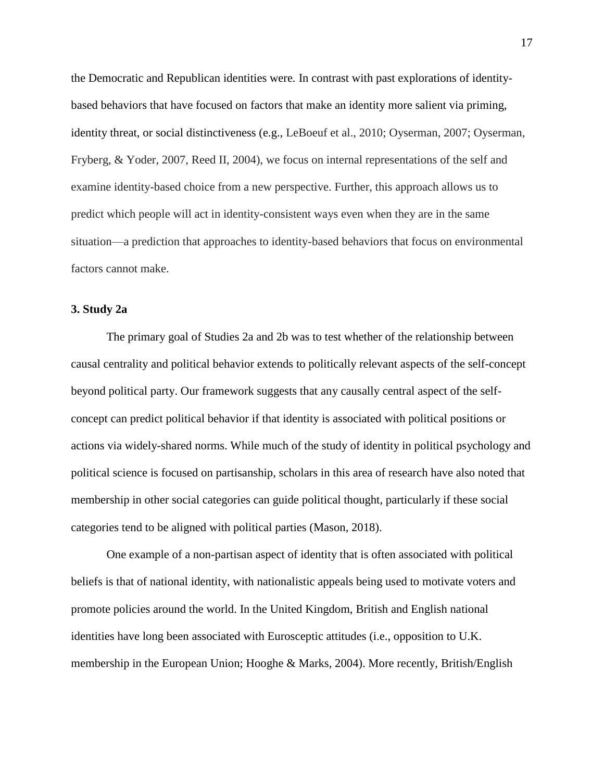the Democratic and Republican identities were. In contrast with past explorations of identitybased behaviors that have focused on factors that make an identity more salient via priming, identity threat, or social distinctiveness (e.g., LeBoeuf et al., 2010; Oyserman, 2007; Oyserman, Fryberg, & Yoder, 2007, Reed II, 2004), we focus on internal representations of the self and examine identity-based choice from a new perspective. Further, this approach allows us to predict which people will act in identity-consistent ways even when they are in the same situation—a prediction that approaches to identity-based behaviors that focus on environmental factors cannot make.

### **3. Study 2a**

The primary goal of Studies 2a and 2b was to test whether of the relationship between causal centrality and political behavior extends to politically relevant aspects of the self-concept beyond political party. Our framework suggests that any causally central aspect of the selfconcept can predict political behavior if that identity is associated with political positions or actions via widely-shared norms. While much of the study of identity in political psychology and political science is focused on partisanship, scholars in this area of research have also noted that membership in other social categories can guide political thought, particularly if these social categories tend to be aligned with political parties (Mason, 2018).

One example of a non-partisan aspect of identity that is often associated with political beliefs is that of national identity, with nationalistic appeals being used to motivate voters and promote policies around the world. In the United Kingdom, British and English national identities have long been associated with Eurosceptic attitudes (i.e., opposition to U.K. membership in the European Union; Hooghe & Marks, 2004). More recently, British/English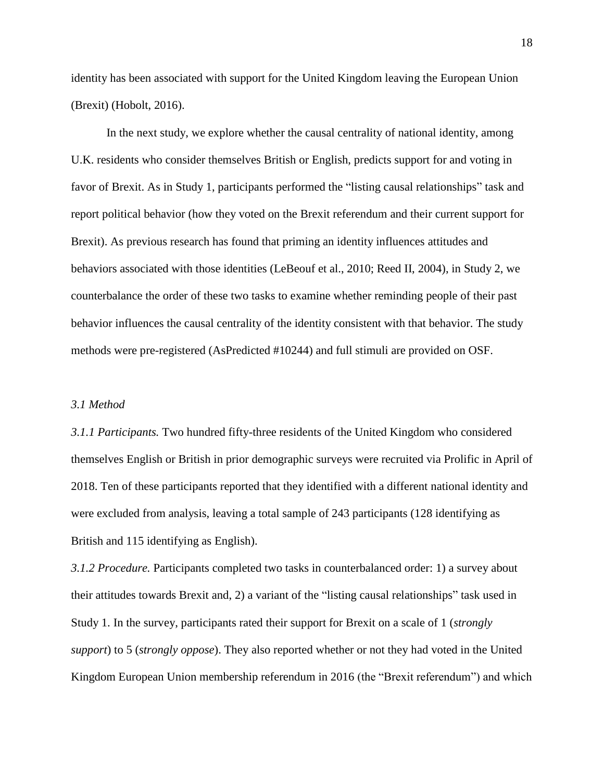identity has been associated with support for the United Kingdom leaving the European Union (Brexit) (Hobolt, 2016).

In the next study, we explore whether the causal centrality of national identity, among U.K. residents who consider themselves British or English, predicts support for and voting in favor of Brexit. As in Study 1, participants performed the "listing causal relationships" task and report political behavior (how they voted on the Brexit referendum and their current support for Brexit). As previous research has found that priming an identity influences attitudes and behaviors associated with those identities (LeBeouf et al., 2010; Reed II, 2004), in Study 2, we counterbalance the order of these two tasks to examine whether reminding people of their past behavior influences the causal centrality of the identity consistent with that behavior. The study methods were pre-registered (AsPredicted #10244) and full stimuli are provided on OSF.

### *3.1 Method*

*3.1.1 Participants.* Two hundred fifty-three residents of the United Kingdom who considered themselves English or British in prior demographic surveys were recruited via Prolific in April of 2018. Ten of these participants reported that they identified with a different national identity and were excluded from analysis, leaving a total sample of 243 participants (128 identifying as British and 115 identifying as English).

*3.1.2 Procedure.* Participants completed two tasks in counterbalanced order: 1) a survey about their attitudes towards Brexit and, 2) a variant of the "listing causal relationships" task used in Study 1. In the survey, participants rated their support for Brexit on a scale of 1 (*strongly support*) to 5 (*strongly oppose*). They also reported whether or not they had voted in the United Kingdom European Union membership referendum in 2016 (the "Brexit referendum") and which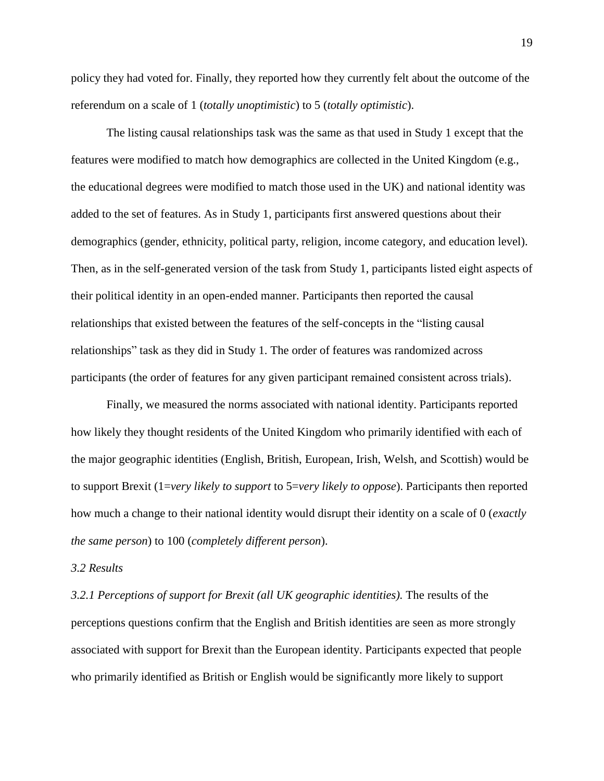policy they had voted for. Finally, they reported how they currently felt about the outcome of the referendum on a scale of 1 (*totally unoptimistic*) to 5 (*totally optimistic*).

The listing causal relationships task was the same as that used in Study 1 except that the features were modified to match how demographics are collected in the United Kingdom (e.g., the educational degrees were modified to match those used in the UK) and national identity was added to the set of features. As in Study 1, participants first answered questions about their demographics (gender, ethnicity, political party, religion, income category, and education level). Then, as in the self-generated version of the task from Study 1, participants listed eight aspects of their political identity in an open-ended manner. Participants then reported the causal relationships that existed between the features of the self-concepts in the "listing causal relationships" task as they did in Study 1. The order of features was randomized across participants (the order of features for any given participant remained consistent across trials).

Finally, we measured the norms associated with national identity. Participants reported how likely they thought residents of the United Kingdom who primarily identified with each of the major geographic identities (English, British, European, Irish, Welsh, and Scottish) would be to support Brexit (1=*very likely to support* to 5=*very likely to oppose*). Participants then reported how much a change to their national identity would disrupt their identity on a scale of 0 (*exactly the same person*) to 100 (*completely different person*).

#### *3.2 Results*

*3.2.1 Perceptions of support for Brexit (all UK geographic identities).* The results of the perceptions questions confirm that the English and British identities are seen as more strongly associated with support for Brexit than the European identity. Participants expected that people who primarily identified as British or English would be significantly more likely to support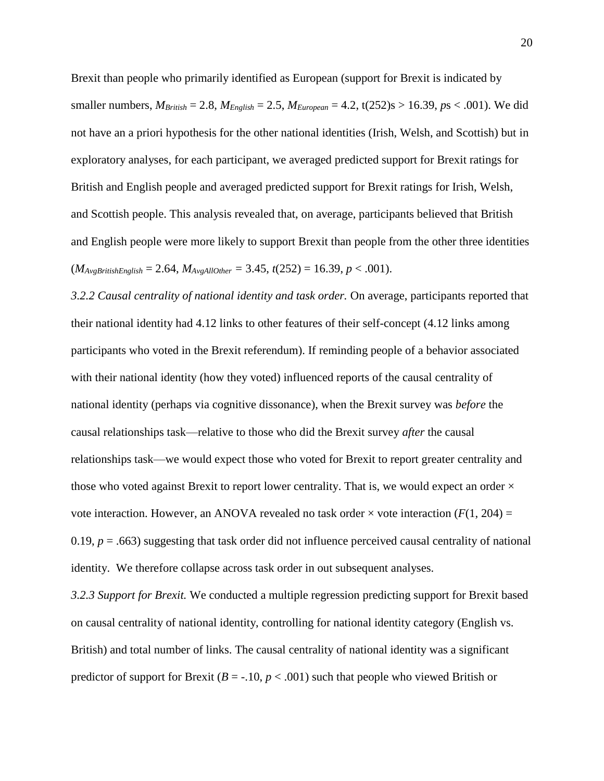Brexit than people who primarily identified as European (support for Brexit is indicated by smaller numbers,  $M_{British} = 2.8$ ,  $M_{English} = 2.5$ ,  $M_{European} = 4.2$ ,  $t(252)s > 16.39$ ,  $ps < .001$ ). We did not have an a priori hypothesis for the other national identities (Irish, Welsh, and Scottish) but in exploratory analyses, for each participant, we averaged predicted support for Brexit ratings for British and English people and averaged predicted support for Brexit ratings for Irish, Welsh, and Scottish people. This analysis revealed that, on average, participants believed that British and English people were more likely to support Brexit than people from the other three identities  $(M_{AvgBritishEnglish} = 2.64, M_{AvgAllOther} = 3.45, t(252) = 16.39, p < .001).$ 

*3.2.2 Causal centrality of national identity and task order.* On average, participants reported that their national identity had 4.12 links to other features of their self-concept (4.12 links among participants who voted in the Brexit referendum). If reminding people of a behavior associated with their national identity (how they voted) influenced reports of the causal centrality of national identity (perhaps via cognitive dissonance), when the Brexit survey was *before* the causal relationships task—relative to those who did the Brexit survey *after* the causal relationships task—we would expect those who voted for Brexit to report greater centrality and those who voted against Brexit to report lower centrality. That is, we would expect an order  $\times$ vote interaction. However, an ANOVA revealed no task order  $\times$  vote interaction ( $F(1, 204) =$ 0.19,  $p = .663$ ) suggesting that task order did not influence perceived causal centrality of national identity. We therefore collapse across task order in out subsequent analyses.

*3.2.3 Support for Brexit.* We conducted a multiple regression predicting support for Brexit based on causal centrality of national identity, controlling for national identity category (English vs. British) and total number of links. The causal centrality of national identity was a significant predictor of support for Brexit ( $B = -10$ ,  $p < .001$ ) such that people who viewed British or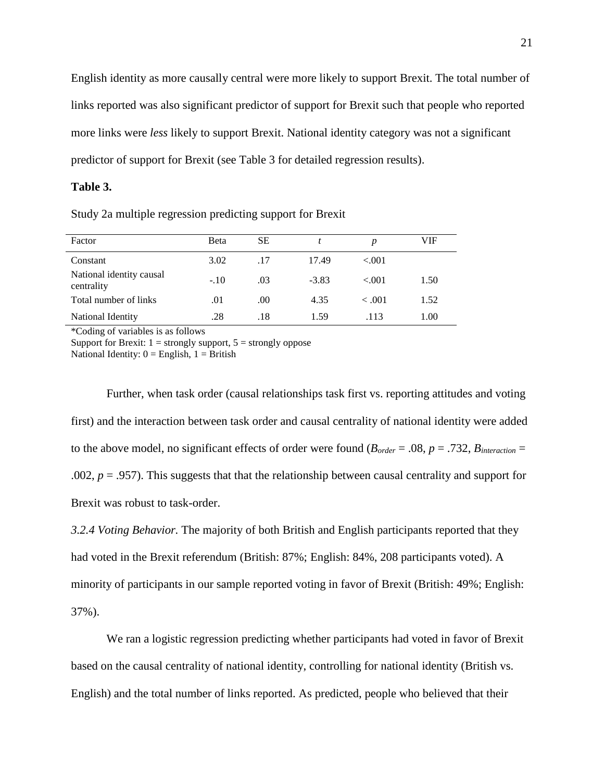English identity as more causally central were more likely to support Brexit. The total number of links reported was also significant predictor of support for Brexit such that people who reported more links were *less* likely to support Brexit. National identity category was not a significant predictor of support for Brexit (see Table 3 for detailed regression results).

### **Table 3.**

Study 2a multiple regression predicting support for Brexit

| Factor                                 | Beta   | SЕ  |         | D      | VIF  |
|----------------------------------------|--------|-----|---------|--------|------|
| Constant                               | 3.02   | .17 | 17.49   | < 0.01 |      |
| National identity causal<br>centrality | $-.10$ | .03 | $-3.83$ | < 0.01 | 1.50 |
| Total number of links                  | .01    | .00 | 4.35    | < 0.01 | 1.52 |
| National Identity                      | .28    | .18 | 1.59    | .113   | 1.00 |

\*Coding of variables is as follows

Support for Brexit:  $1 =$  strongly support,  $5 =$  strongly oppose National Identity:  $0 =$  English,  $1 =$  British

Further, when task order (causal relationships task first vs. reporting attitudes and voting first) and the interaction between task order and causal centrality of national identity were added to the above model, no significant effects of order were found ( $B_{order} = .08$ ,  $p = .732$ ,  $B_{interaction} =$ .002,  $p = 0.957$ ). This suggests that that the relationship between causal centrality and support for Brexit was robust to task-order.

*3.2.4 Voting Behavior.* The majority of both British and English participants reported that they had voted in the Brexit referendum (British: 87%; English: 84%, 208 participants voted). A minority of participants in our sample reported voting in favor of Brexit (British: 49%; English: 37%).

We ran a logistic regression predicting whether participants had voted in favor of Brexit based on the causal centrality of national identity, controlling for national identity (British vs. English) and the total number of links reported. As predicted, people who believed that their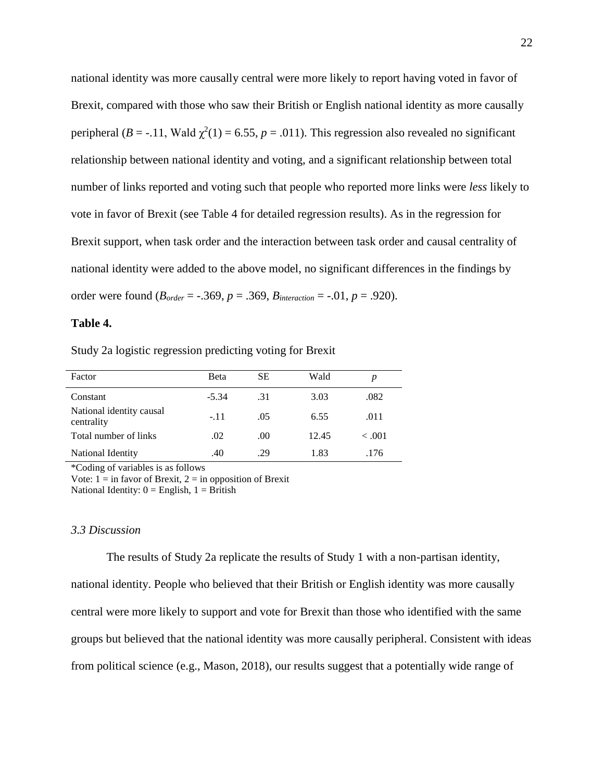national identity was more causally central were more likely to report having voted in favor of Brexit, compared with those who saw their British or English national identity as more causally peripheral ( $B = -11$ , Wald  $\chi^2(1) = 6.55$ ,  $p = .011$ ). This regression also revealed no significant relationship between national identity and voting, and a significant relationship between total number of links reported and voting such that people who reported more links were *less* likely to vote in favor of Brexit (see Table 4 for detailed regression results). As in the regression for Brexit support, when task order and the interaction between task order and causal centrality of national identity were added to the above model, no significant differences in the findings by order were found (*Border* = -.369, *p* = .369, *Binteraction* = -.01, *p* = .920).

### **Table 4.**

Study 2a logistic regression predicting voting for Brexit

| Factor                                 | Beta    | SЕ  | Wald  | p      |
|----------------------------------------|---------|-----|-------|--------|
| Constant                               | $-5.34$ | .31 | 3.03  | .082   |
| National identity causal<br>centrality | $-.11$  | .05 | 6.55  | .011   |
| Total number of links                  | .02     | .00 | 12.45 | < 0.01 |
| National Identity                      | .40     | .29 | 1.83  | .176   |

\*Coding of variables is as follows

Vote:  $1 =$  in favor of Brexit,  $2 =$  in opposition of Brexit

National Identity:  $0 =$  English,  $1 =$  British

#### *3.3 Discussion*

The results of Study 2a replicate the results of Study 1 with a non-partisan identity, national identity. People who believed that their British or English identity was more causally central were more likely to support and vote for Brexit than those who identified with the same groups but believed that the national identity was more causally peripheral. Consistent with ideas from political science (e.g., Mason, 2018), our results suggest that a potentially wide range of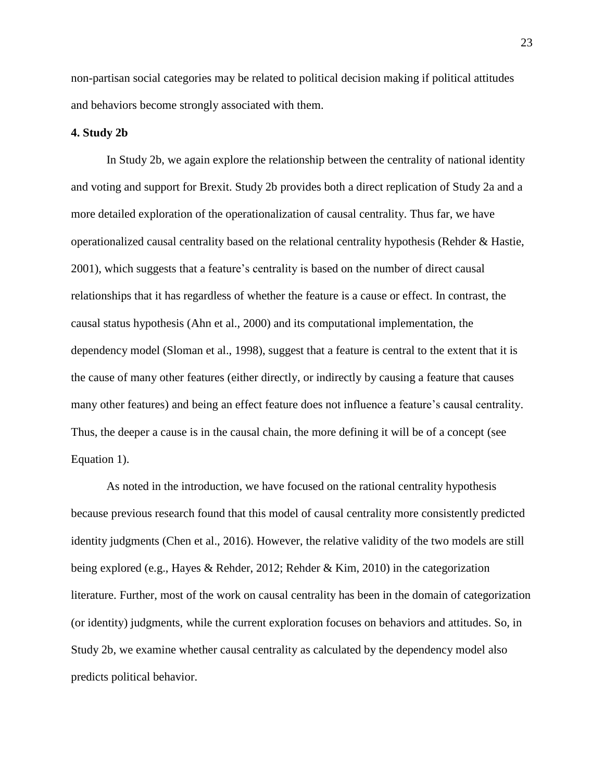non-partisan social categories may be related to political decision making if political attitudes and behaviors become strongly associated with them.

#### **4. Study 2b**

In Study 2b, we again explore the relationship between the centrality of national identity and voting and support for Brexit. Study 2b provides both a direct replication of Study 2a and a more detailed exploration of the operationalization of causal centrality. Thus far, we have operationalized causal centrality based on the relational centrality hypothesis (Rehder & Hastie, 2001), which suggests that a feature's centrality is based on the number of direct causal relationships that it has regardless of whether the feature is a cause or effect. In contrast, the causal status hypothesis (Ahn et al., 2000) and its computational implementation, the dependency model (Sloman et al., 1998), suggest that a feature is central to the extent that it is the cause of many other features (either directly, or indirectly by causing a feature that causes many other features) and being an effect feature does not influence a feature's causal centrality. Thus, the deeper a cause is in the causal chain, the more defining it will be of a concept (see Equation 1).

As noted in the introduction, we have focused on the rational centrality hypothesis because previous research found that this model of causal centrality more consistently predicted identity judgments (Chen et al., 2016). However, the relative validity of the two models are still being explored (e.g., Hayes & Rehder, 2012; Rehder & Kim, 2010) in the categorization literature. Further, most of the work on causal centrality has been in the domain of categorization (or identity) judgments, while the current exploration focuses on behaviors and attitudes. So, in Study 2b, we examine whether causal centrality as calculated by the dependency model also predicts political behavior.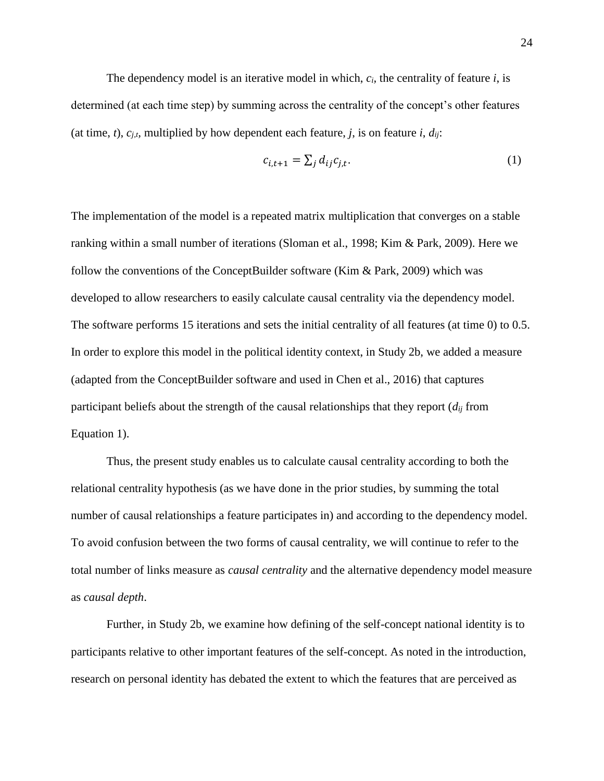The dependency model is an iterative model in which, *ci,* the centrality of feature *i*, is determined (at each time step) by summing across the centrality of the concept's other features (at time, *t*),  $c_{i,t}$ , multiplied by how dependent each feature, *j*, is on feature *i*,  $d_{ij}$ :

$$
c_{i,t+1} = \sum_j d_{ij} c_{j,t}.\tag{1}
$$

The implementation of the model is a repeated matrix multiplication that converges on a stable ranking within a small number of iterations (Sloman et al., 1998; Kim & Park, 2009). Here we follow the conventions of the ConceptBuilder software (Kim & Park, 2009) which was developed to allow researchers to easily calculate causal centrality via the dependency model. The software performs 15 iterations and sets the initial centrality of all features (at time 0) to 0.5. In order to explore this model in the political identity context, in Study 2b, we added a measure (adapted from the ConceptBuilder software and used in Chen et al., 2016) that captures participant beliefs about the strength of the causal relationships that they report  $(d_{ij}$  from Equation 1).

Thus, the present study enables us to calculate causal centrality according to both the relational centrality hypothesis (as we have done in the prior studies, by summing the total number of causal relationships a feature participates in) and according to the dependency model. To avoid confusion between the two forms of causal centrality, we will continue to refer to the total number of links measure as *causal centrality* and the alternative dependency model measure as *causal depth*.

Further, in Study 2b, we examine how defining of the self-concept national identity is to participants relative to other important features of the self-concept. As noted in the introduction, research on personal identity has debated the extent to which the features that are perceived as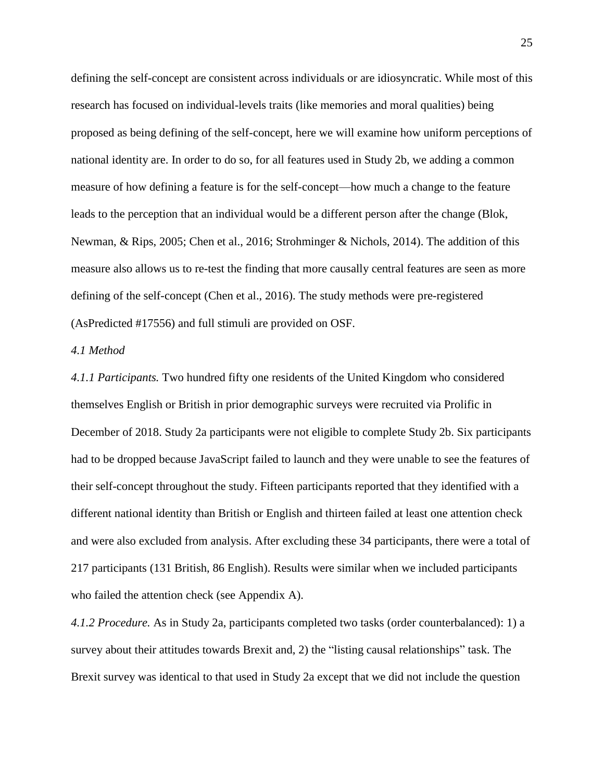defining the self-concept are consistent across individuals or are idiosyncratic. While most of this research has focused on individual-levels traits (like memories and moral qualities) being proposed as being defining of the self-concept, here we will examine how uniform perceptions of national identity are. In order to do so, for all features used in Study 2b, we adding a common measure of how defining a feature is for the self-concept—how much a change to the feature leads to the perception that an individual would be a different person after the change (Blok, Newman, & Rips, 2005; Chen et al., 2016; Strohminger & Nichols, 2014). The addition of this measure also allows us to re-test the finding that more causally central features are seen as more defining of the self-concept (Chen et al., 2016). The study methods were pre-registered (AsPredicted #17556) and full stimuli are provided on OSF.

### *4.1 Method*

*4.1.1 Participants.* Two hundred fifty one residents of the United Kingdom who considered themselves English or British in prior demographic surveys were recruited via Prolific in December of 2018. Study 2a participants were not eligible to complete Study 2b. Six participants had to be dropped because JavaScript failed to launch and they were unable to see the features of their self-concept throughout the study. Fifteen participants reported that they identified with a different national identity than British or English and thirteen failed at least one attention check and were also excluded from analysis. After excluding these 34 participants, there were a total of 217 participants (131 British, 86 English). Results were similar when we included participants who failed the attention check (see Appendix A).

*4.1.2 Procedure.* As in Study 2a, participants completed two tasks (order counterbalanced): 1) a survey about their attitudes towards Brexit and, 2) the "listing causal relationships" task. The Brexit survey was identical to that used in Study 2a except that we did not include the question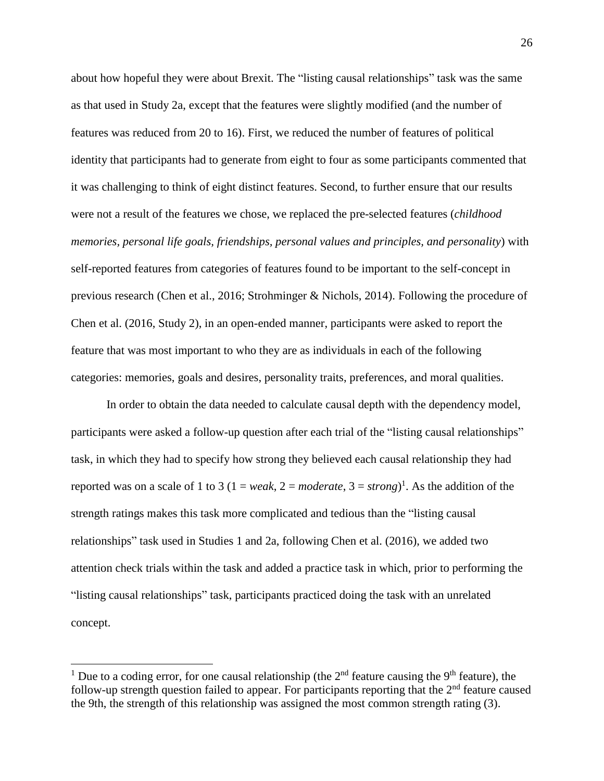about how hopeful they were about Brexit. The "listing causal relationships" task was the same as that used in Study 2a, except that the features were slightly modified (and the number of features was reduced from 20 to 16). First, we reduced the number of features of political identity that participants had to generate from eight to four as some participants commented that it was challenging to think of eight distinct features. Second, to further ensure that our results were not a result of the features we chose, we replaced the pre-selected features (*childhood memories, personal life goals, friendships, personal values and principles, and personality*) with self-reported features from categories of features found to be important to the self-concept in previous research (Chen et al., 2016; Strohminger & Nichols, 2014). Following the procedure of Chen et al. (2016, Study 2), in an open-ended manner, participants were asked to report the feature that was most important to who they are as individuals in each of the following categories: memories, goals and desires, personality traits, preferences, and moral qualities.

In order to obtain the data needed to calculate causal depth with the dependency model, participants were asked a follow-up question after each trial of the "listing causal relationships" task, in which they had to specify how strong they believed each causal relationship they had reported was on a scale of 1 to 3 ( $1 = weak$ ,  $2 = moderate$ ,  $3 = strong$ )<sup>1</sup>. As the addition of the strength ratings makes this task more complicated and tedious than the "listing causal relationships" task used in Studies 1 and 2a, following Chen et al. (2016), we added two attention check trials within the task and added a practice task in which, prior to performing the "listing causal relationships" task, participants practiced doing the task with an unrelated concept.

l

<sup>&</sup>lt;sup>1</sup> Due to a coding error, for one causal relationship (the  $2<sup>nd</sup>$  feature causing the 9<sup>th</sup> feature), the follow-up strength question failed to appear. For participants reporting that the 2<sup>nd</sup> feature caused the 9th, the strength of this relationship was assigned the most common strength rating (3).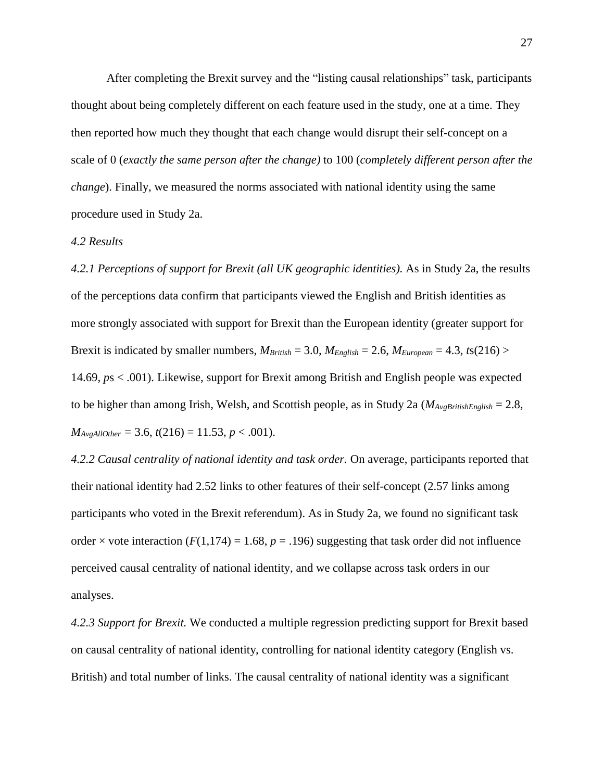After completing the Brexit survey and the "listing causal relationships" task, participants thought about being completely different on each feature used in the study, one at a time. They then reported how much they thought that each change would disrupt their self-concept on a scale of 0 (*exactly the same person after the change)* to 100 (*completely different person after the change*). Finally, we measured the norms associated with national identity using the same procedure used in Study 2a.

### *4.2 Results*

*4.2.1 Perceptions of support for Brexit (all UK geographic identities).* As in Study 2a, the results of the perceptions data confirm that participants viewed the English and British identities as more strongly associated with support for Brexit than the European identity (greater support for Brexit is indicated by smaller numbers,  $M_{British} = 3.0$ ,  $M_{English} = 2.6$ ,  $M_{European} = 4.3$ ,  $ts(216)$ 14.69, *p*s < .001). Likewise, support for Brexit among British and English people was expected to be higher than among Irish, Welsh, and Scottish people, as in Study 2a (*MAvgBritishEnglish* = 2.8,  $M_{AvgAllOther} = 3.6$ ,  $t(216) = 11.53$ ,  $p < .001$ ).

*4.2.2 Causal centrality of national identity and task order.* On average, participants reported that their national identity had 2.52 links to other features of their self-concept (2.57 links among participants who voted in the Brexit referendum). As in Study 2a, we found no significant task order  $\times$  vote interaction ( $F(1,174) = 1.68$ ,  $p = .196$ ) suggesting that task order did not influence perceived causal centrality of national identity, and we collapse across task orders in our analyses.

*4.2.3 Support for Brexit.* We conducted a multiple regression predicting support for Brexit based on causal centrality of national identity, controlling for national identity category (English vs. British) and total number of links. The causal centrality of national identity was a significant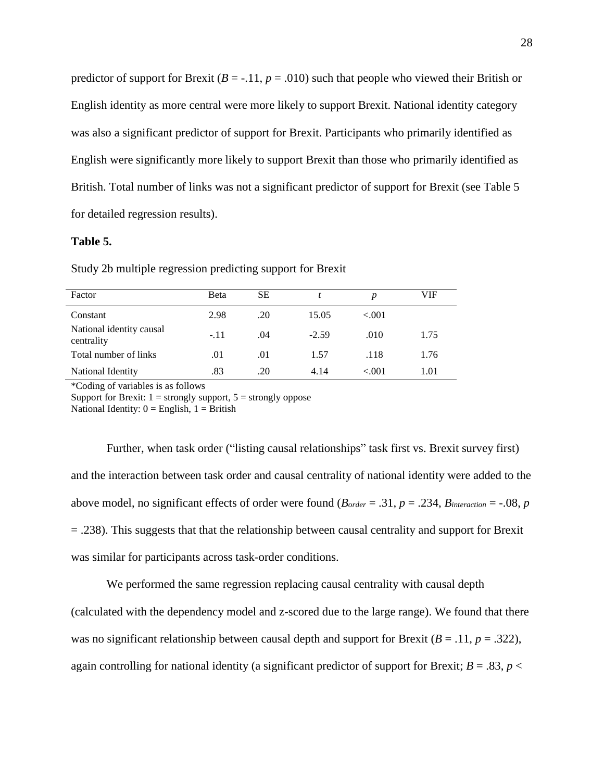predictor of support for Brexit ( $B = -11$ ,  $p = .010$ ) such that people who viewed their British or English identity as more central were more likely to support Brexit. National identity category was also a significant predictor of support for Brexit. Participants who primarily identified as English were significantly more likely to support Brexit than those who primarily identified as British. Total number of links was not a significant predictor of support for Brexit (see Table 5 for detailed regression results).

### **Table 5.**

| Factor                                 | Beta   | SЕ  |         | p      | VIF  |
|----------------------------------------|--------|-----|---------|--------|------|
| Constant                               | 2.98   | .20 | 15.05   | < 0.01 |      |
| National identity causal<br>centrality | $-.11$ | .04 | $-2.59$ | .010   | 1.75 |
| Total number of links                  | .01    | .01 | 1.57    | .118   | 1.76 |
| National Identity                      | .83    | .20 | 4.14    | < 0.01 | 1.01 |

Study 2b multiple regression predicting support for Brexit

\*Coding of variables is as follows

Support for Brexit:  $1 =$  strongly support,  $5 =$  strongly oppose

National Identity:  $0 =$  English,  $1 =$  British

Further, when task order ("listing causal relationships" task first vs. Brexit survey first) and the interaction between task order and causal centrality of national identity were added to the above model, no significant effects of order were found  $(B_{order} = .31, p = .234, B_{interaction} = .08, p$ = .238). This suggests that that the relationship between causal centrality and support for Brexit was similar for participants across task-order conditions.

We performed the same regression replacing causal centrality with causal depth

(calculated with the dependency model and z-scored due to the large range). We found that there was no significant relationship between causal depth and support for Brexit ( $B = .11$ ,  $p = .322$ ), again controlling for national identity (a significant predictor of support for Brexit;  $B = .83$ ,  $p <$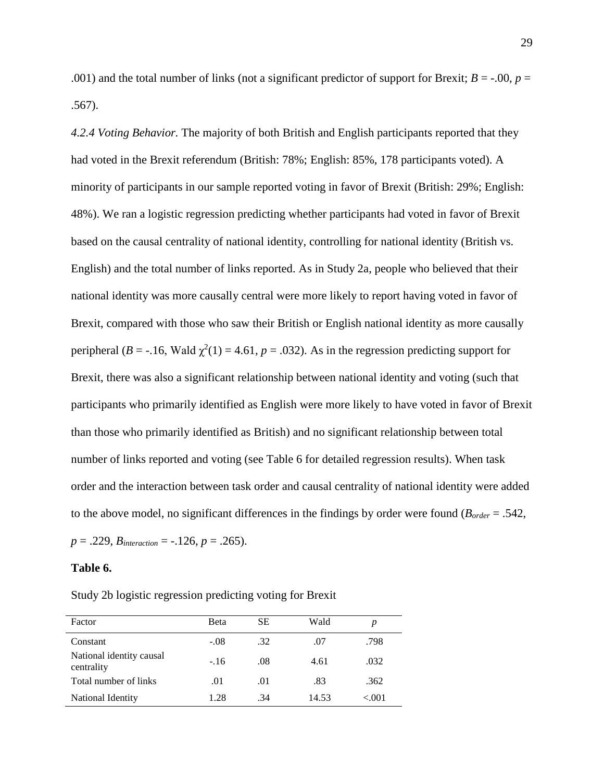.001) and the total number of links (not a significant predictor of support for Brexit;  $B = -.00$ ,  $p =$ .567).

*4.2.4 Voting Behavior.* The majority of both British and English participants reported that they had voted in the Brexit referendum (British: 78%; English: 85%, 178 participants voted). A minority of participants in our sample reported voting in favor of Brexit (British: 29%; English: 48%). We ran a logistic regression predicting whether participants had voted in favor of Brexit based on the causal centrality of national identity, controlling for national identity (British vs. English) and the total number of links reported. As in Study 2a, people who believed that their national identity was more causally central were more likely to report having voted in favor of Brexit, compared with those who saw their British or English national identity as more causally peripheral ( $B = -16$ , Wald  $\chi^2(1) = 4.61$ ,  $p = .032$ ). As in the regression predicting support for Brexit, there was also a significant relationship between national identity and voting (such that participants who primarily identified as English were more likely to have voted in favor of Brexit than those who primarily identified as British) and no significant relationship between total number of links reported and voting (see Table 6 for detailed regression results). When task order and the interaction between task order and causal centrality of national identity were added to the above model, no significant differences in the findings by order were found (*Border* = .542,  $p = .229$ , *B*<sub>interaction</sub> =  $-.126$ ,  $p = .265$ ).

#### **Table 6.**

Study 2b logistic regression predicting voting for Brexit

| Factor                                 | Beta   | SЕ  | Wald  | p     |
|----------------------------------------|--------|-----|-------|-------|
| Constant                               | $-.08$ | .32 | .07   | .798  |
| National identity causal<br>centrality | $-.16$ | .08 | 4.61  | .032  |
| Total number of links                  | .01    | .01 | .83   | .362  |
| National Identity                      | 1.28   | .34 | 14.53 | < 001 |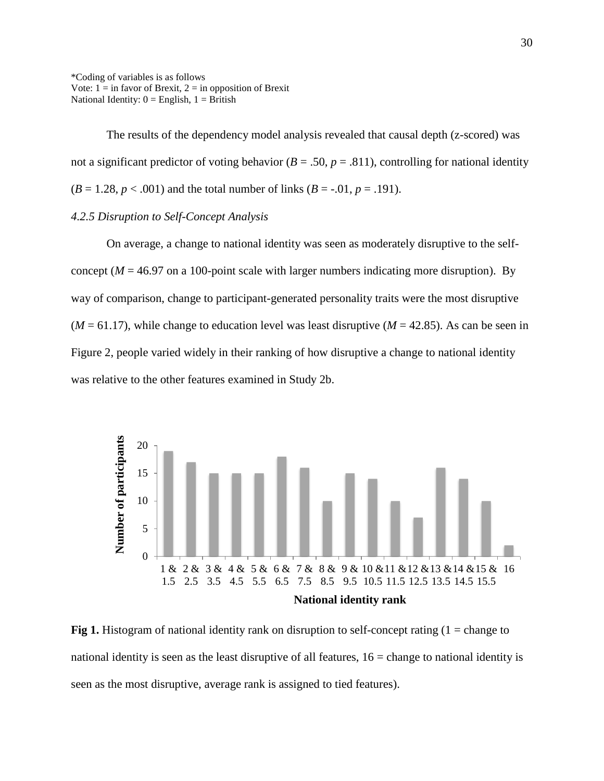\*Coding of variables is as follows Vote:  $1 = \text{in favor of Brexit}, 2 = \text{in opposition of Brexit}$ National Identity:  $0 =$  English,  $1 =$  British

The results of the dependency model analysis revealed that causal depth (z-scored) was not a significant predictor of voting behavior ( $B = .50$ ,  $p = .811$ ), controlling for national identity  $(B = 1.28, p < .001)$  and the total number of links  $(B = .01, p = .191)$ .

### *4.2.5 Disruption to Self-Concept Analysis*

On average, a change to national identity was seen as moderately disruptive to the selfconcept ( $M = 46.97$  on a 100-point scale with larger numbers indicating more disruption). By way of comparison, change to participant-generated personality traits were the most disruptive  $(M = 61.17)$ , while change to education level was least disruptive  $(M = 42.85)$ . As can be seen in Figure 2, people varied widely in their ranking of how disruptive a change to national identity was relative to the other features examined in Study 2b.



**Fig 1.** Histogram of national identity rank on disruption to self-concept rating (1 = change to national identity is seen as the least disruptive of all features,  $16$  = change to national identity is seen as the most disruptive, average rank is assigned to tied features).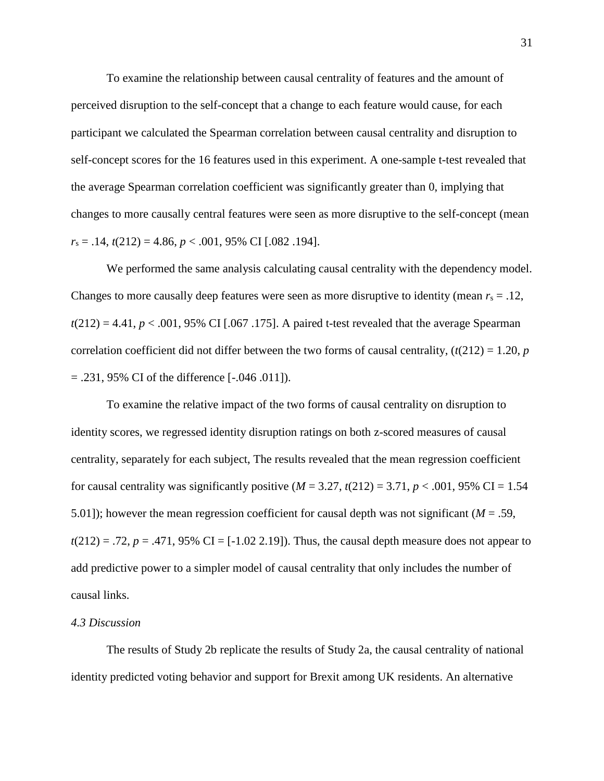To examine the relationship between causal centrality of features and the amount of perceived disruption to the self-concept that a change to each feature would cause, for each participant we calculated the Spearman correlation between causal centrality and disruption to self-concept scores for the 16 features used in this experiment. A one-sample t-test revealed that the average Spearman correlation coefficient was significantly greater than 0, implying that changes to more causally central features were seen as more disruptive to the self-concept (mean *r*<sup>s</sup> = .14, *t*(212) = 4.86, *p* < .001, 95% CI [.082 .194].

We performed the same analysis calculating causal centrality with the dependency model. Changes to more causally deep features were seen as more disruptive to identity (mean  $r_s = .12$ ,  $t(212) = 4.41$ ,  $p < .001$ , 95% CI [.067.175]. A paired t-test revealed that the average Spearman correlation coefficient did not differ between the two forms of causal centrality,  $(t(212) = 1.20, p$  $= .231, 95\% \text{ CI of the difference } [-0.046, 0.011]$ .

To examine the relative impact of the two forms of causal centrality on disruption to identity scores, we regressed identity disruption ratings on both z-scored measures of causal centrality, separately for each subject, The results revealed that the mean regression coefficient for causal centrality was significantly positive  $(M = 3.27, t(212) = 3.71, p < .001, 95\% \text{ CI} = 1.54$ 5.01]); however the mean regression coefficient for causal depth was not significant (*M* = .59,  $t(212) = .72$ ,  $p = .471$ , 95% CI = [-1.02 2.19]). Thus, the causal depth measure does not appear to add predictive power to a simpler model of causal centrality that only includes the number of causal links.

#### *4.3 Discussion*

The results of Study 2b replicate the results of Study 2a, the causal centrality of national identity predicted voting behavior and support for Brexit among UK residents. An alternative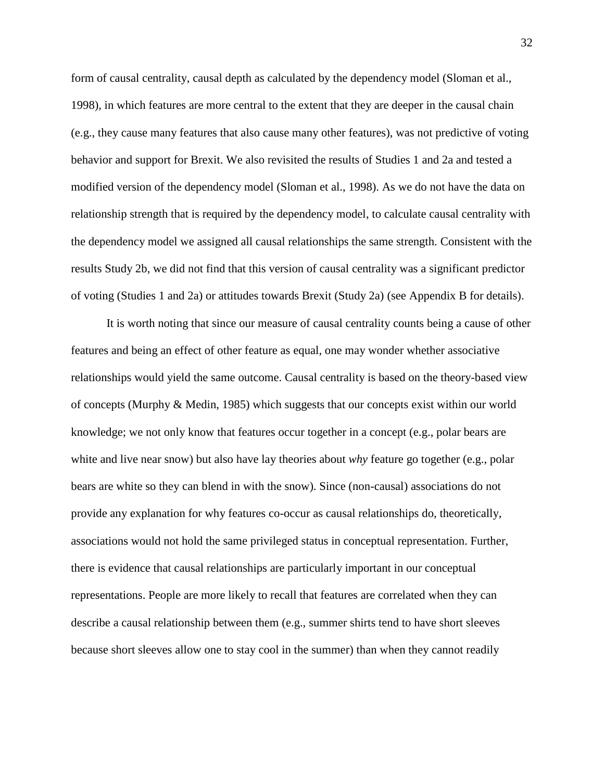form of causal centrality, causal depth as calculated by the dependency model (Sloman et al., 1998), in which features are more central to the extent that they are deeper in the causal chain (e.g., they cause many features that also cause many other features), was not predictive of voting behavior and support for Brexit. We also revisited the results of Studies 1 and 2a and tested a modified version of the dependency model (Sloman et al., 1998). As we do not have the data on relationship strength that is required by the dependency model, to calculate causal centrality with the dependency model we assigned all causal relationships the same strength. Consistent with the results Study 2b, we did not find that this version of causal centrality was a significant predictor of voting (Studies 1 and 2a) or attitudes towards Brexit (Study 2a) (see Appendix B for details).

It is worth noting that since our measure of causal centrality counts being a cause of other features and being an effect of other feature as equal, one may wonder whether associative relationships would yield the same outcome. Causal centrality is based on the theory-based view of concepts (Murphy & Medin, 1985) which suggests that our concepts exist within our world knowledge; we not only know that features occur together in a concept (e.g., polar bears are white and live near snow) but also have lay theories about *why* feature go together (e.g., polar bears are white so they can blend in with the snow). Since (non-causal) associations do not provide any explanation for why features co-occur as causal relationships do, theoretically, associations would not hold the same privileged status in conceptual representation. Further, there is evidence that causal relationships are particularly important in our conceptual representations. People are more likely to recall that features are correlated when they can describe a causal relationship between them (e.g., summer shirts tend to have short sleeves because short sleeves allow one to stay cool in the summer) than when they cannot readily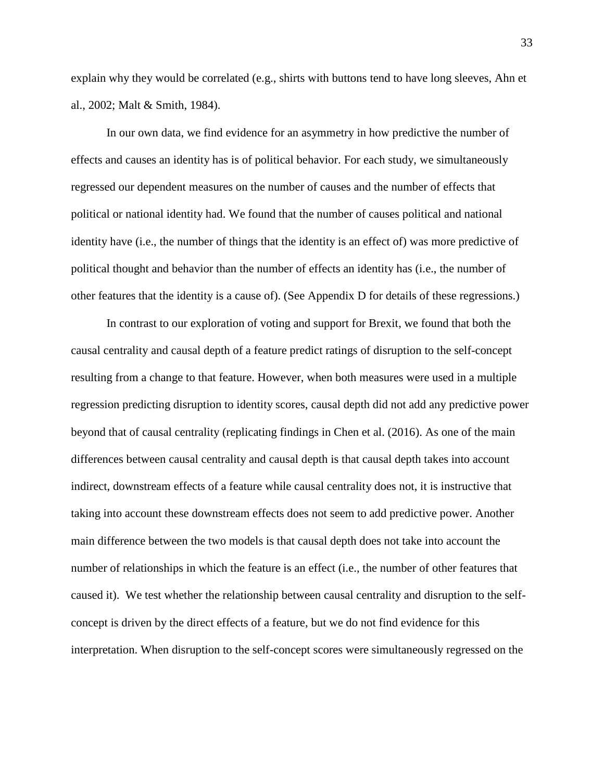explain why they would be correlated (e.g., shirts with buttons tend to have long sleeves, Ahn et al., 2002; Malt & Smith, 1984).

In our own data, we find evidence for an asymmetry in how predictive the number of effects and causes an identity has is of political behavior. For each study, we simultaneously regressed our dependent measures on the number of causes and the number of effects that political or national identity had. We found that the number of causes political and national identity have (i.e., the number of things that the identity is an effect of) was more predictive of political thought and behavior than the number of effects an identity has (i.e., the number of other features that the identity is a cause of). (See Appendix D for details of these regressions.)

In contrast to our exploration of voting and support for Brexit, we found that both the causal centrality and causal depth of a feature predict ratings of disruption to the self-concept resulting from a change to that feature. However, when both measures were used in a multiple regression predicting disruption to identity scores, causal depth did not add any predictive power beyond that of causal centrality (replicating findings in Chen et al. (2016). As one of the main differences between causal centrality and causal depth is that causal depth takes into account indirect, downstream effects of a feature while causal centrality does not, it is instructive that taking into account these downstream effects does not seem to add predictive power. Another main difference between the two models is that causal depth does not take into account the number of relationships in which the feature is an effect (i.e., the number of other features that caused it). We test whether the relationship between causal centrality and disruption to the selfconcept is driven by the direct effects of a feature, but we do not find evidence for this interpretation. When disruption to the self-concept scores were simultaneously regressed on the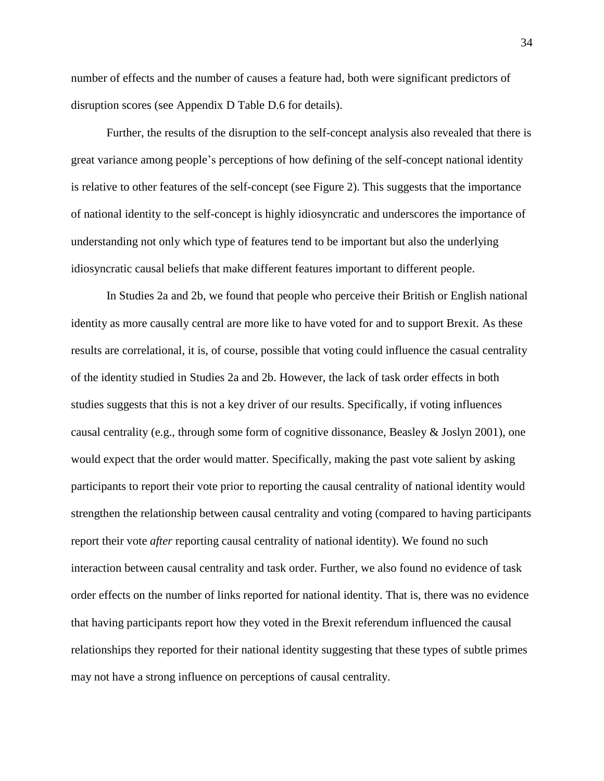number of effects and the number of causes a feature had, both were significant predictors of disruption scores (see Appendix D Table D.6 for details).

Further, the results of the disruption to the self-concept analysis also revealed that there is great variance among people's perceptions of how defining of the self-concept national identity is relative to other features of the self-concept (see Figure 2). This suggests that the importance of national identity to the self-concept is highly idiosyncratic and underscores the importance of understanding not only which type of features tend to be important but also the underlying idiosyncratic causal beliefs that make different features important to different people.

In Studies 2a and 2b, we found that people who perceive their British or English national identity as more causally central are more like to have voted for and to support Brexit. As these results are correlational, it is, of course, possible that voting could influence the casual centrality of the identity studied in Studies 2a and 2b. However, the lack of task order effects in both studies suggests that this is not a key driver of our results. Specifically, if voting influences causal centrality (e.g., through some form of cognitive dissonance, Beasley  $&$  Joslyn 2001), one would expect that the order would matter. Specifically, making the past vote salient by asking participants to report their vote prior to reporting the causal centrality of national identity would strengthen the relationship between causal centrality and voting (compared to having participants report their vote *after* reporting causal centrality of national identity). We found no such interaction between causal centrality and task order. Further, we also found no evidence of task order effects on the number of links reported for national identity. That is, there was no evidence that having participants report how they voted in the Brexit referendum influenced the causal relationships they reported for their national identity suggesting that these types of subtle primes may not have a strong influence on perceptions of causal centrality.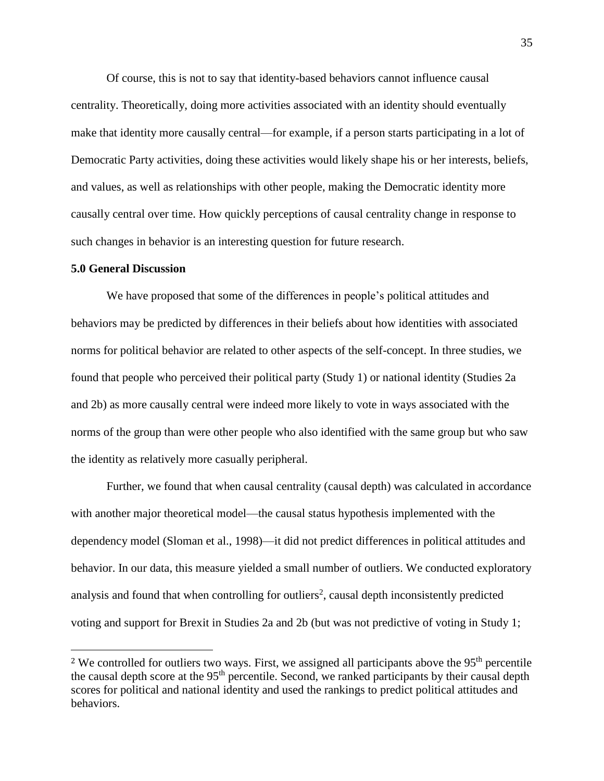Of course, this is not to say that identity-based behaviors cannot influence causal centrality. Theoretically, doing more activities associated with an identity should eventually make that identity more causally central—for example, if a person starts participating in a lot of Democratic Party activities, doing these activities would likely shape his or her interests, beliefs, and values, as well as relationships with other people, making the Democratic identity more causally central over time. How quickly perceptions of causal centrality change in response to such changes in behavior is an interesting question for future research.

#### **5.0 General Discussion**

 $\overline{\phantom{a}}$ 

We have proposed that some of the differences in people's political attitudes and behaviors may be predicted by differences in their beliefs about how identities with associated norms for political behavior are related to other aspects of the self-concept. In three studies, we found that people who perceived their political party (Study 1) or national identity (Studies 2a and 2b) as more causally central were indeed more likely to vote in ways associated with the norms of the group than were other people who also identified with the same group but who saw the identity as relatively more casually peripheral.

Further, we found that when causal centrality (causal depth) was calculated in accordance with another major theoretical model—the causal status hypothesis implemented with the dependency model (Sloman et al., 1998)—it did not predict differences in political attitudes and behavior. In our data, this measure yielded a small number of outliers. We conducted exploratory analysis and found that when controlling for outliers<sup>2</sup>, causal depth inconsistently predicted voting and support for Brexit in Studies 2a and 2b (but was not predictive of voting in Study 1;

<sup>&</sup>lt;sup>2</sup> We controlled for outliers two ways. First, we assigned all participants above the  $95<sup>th</sup>$  percentile the causal depth score at the 95<sup>th</sup> percentile. Second, we ranked participants by their causal depth scores for political and national identity and used the rankings to predict political attitudes and behaviors.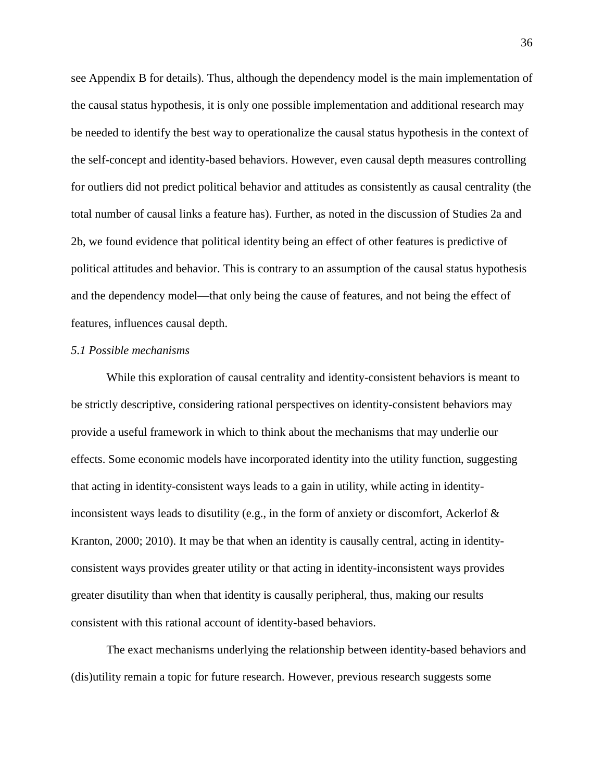see Appendix B for details). Thus, although the dependency model is the main implementation of the causal status hypothesis, it is only one possible implementation and additional research may be needed to identify the best way to operationalize the causal status hypothesis in the context of the self-concept and identity-based behaviors. However, even causal depth measures controlling for outliers did not predict political behavior and attitudes as consistently as causal centrality (the total number of causal links a feature has). Further, as noted in the discussion of Studies 2a and 2b, we found evidence that political identity being an effect of other features is predictive of political attitudes and behavior. This is contrary to an assumption of the causal status hypothesis and the dependency model—that only being the cause of features, and not being the effect of features, influences causal depth.

### *5.1 Possible mechanisms*

While this exploration of causal centrality and identity-consistent behaviors is meant to be strictly descriptive, considering rational perspectives on identity-consistent behaviors may provide a useful framework in which to think about the mechanisms that may underlie our effects. Some economic models have incorporated identity into the utility function, suggesting that acting in identity-consistent ways leads to a gain in utility, while acting in identityinconsistent ways leads to disutility (e.g., in the form of anxiety or discomfort, Ackerlof & Kranton, 2000; 2010). It may be that when an identity is causally central, acting in identityconsistent ways provides greater utility or that acting in identity-inconsistent ways provides greater disutility than when that identity is causally peripheral, thus, making our results consistent with this rational account of identity-based behaviors.

The exact mechanisms underlying the relationship between identity-based behaviors and (dis)utility remain a topic for future research. However, previous research suggests some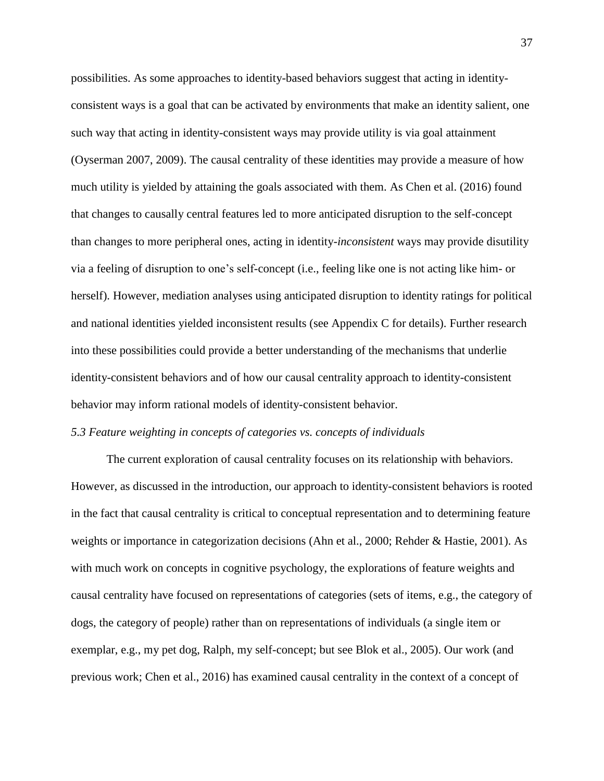possibilities. As some approaches to identity-based behaviors suggest that acting in identityconsistent ways is a goal that can be activated by environments that make an identity salient, one such way that acting in identity-consistent ways may provide utility is via goal attainment (Oyserman 2007, 2009). The causal centrality of these identities may provide a measure of how much utility is yielded by attaining the goals associated with them. As Chen et al. (2016) found that changes to causally central features led to more anticipated disruption to the self-concept than changes to more peripheral ones, acting in identity-*inconsistent* ways may provide disutility via a feeling of disruption to one's self-concept (i.e., feeling like one is not acting like him- or herself). However, mediation analyses using anticipated disruption to identity ratings for political and national identities yielded inconsistent results (see Appendix C for details). Further research into these possibilities could provide a better understanding of the mechanisms that underlie identity-consistent behaviors and of how our causal centrality approach to identity-consistent behavior may inform rational models of identity-consistent behavior.

### *5.3 Feature weighting in concepts of categories vs. concepts of individuals*

The current exploration of causal centrality focuses on its relationship with behaviors. However, as discussed in the introduction, our approach to identity-consistent behaviors is rooted in the fact that causal centrality is critical to conceptual representation and to determining feature weights or importance in categorization decisions (Ahn et al., 2000; Rehder & Hastie, 2001). As with much work on concepts in cognitive psychology, the explorations of feature weights and causal centrality have focused on representations of categories (sets of items, e.g., the category of dogs, the category of people) rather than on representations of individuals (a single item or exemplar, e.g., my pet dog, Ralph, my self-concept; but see Blok et al., 2005). Our work (and previous work; Chen et al., 2016) has examined causal centrality in the context of a concept of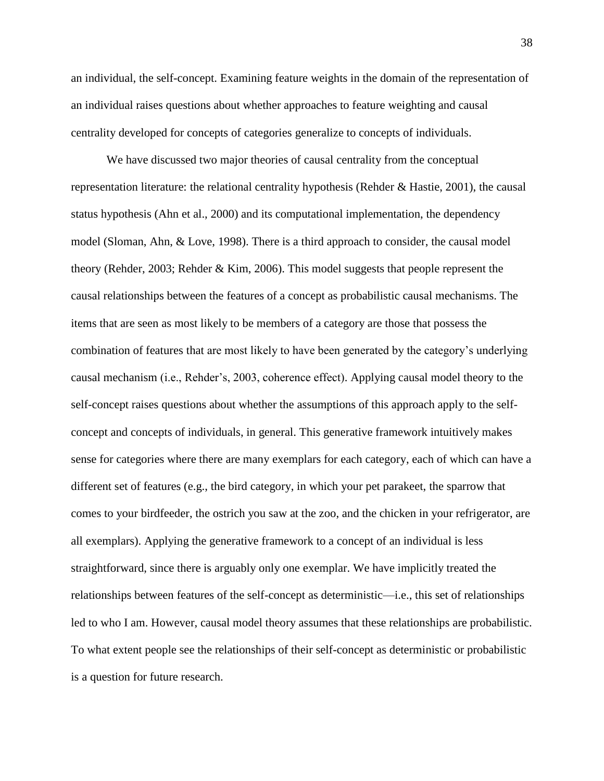an individual, the self-concept. Examining feature weights in the domain of the representation of an individual raises questions about whether approaches to feature weighting and causal centrality developed for concepts of categories generalize to concepts of individuals.

We have discussed two major theories of causal centrality from the conceptual representation literature: the relational centrality hypothesis (Rehder & Hastie, 2001), the causal status hypothesis (Ahn et al., 2000) and its computational implementation, the dependency model (Sloman, Ahn, & Love, 1998). There is a third approach to consider, the causal model theory (Rehder, 2003; Rehder & Kim, 2006). This model suggests that people represent the causal relationships between the features of a concept as probabilistic causal mechanisms. The items that are seen as most likely to be members of a category are those that possess the combination of features that are most likely to have been generated by the category's underlying causal mechanism (i.e., Rehder's, 2003, coherence effect). Applying causal model theory to the self-concept raises questions about whether the assumptions of this approach apply to the selfconcept and concepts of individuals, in general. This generative framework intuitively makes sense for categories where there are many exemplars for each category, each of which can have a different set of features (e.g., the bird category, in which your pet parakeet, the sparrow that comes to your birdfeeder, the ostrich you saw at the zoo, and the chicken in your refrigerator, are all exemplars). Applying the generative framework to a concept of an individual is less straightforward, since there is arguably only one exemplar. We have implicitly treated the relationships between features of the self-concept as deterministic—i.e., this set of relationships led to who I am. However, causal model theory assumes that these relationships are probabilistic. To what extent people see the relationships of their self-concept as deterministic or probabilistic is a question for future research.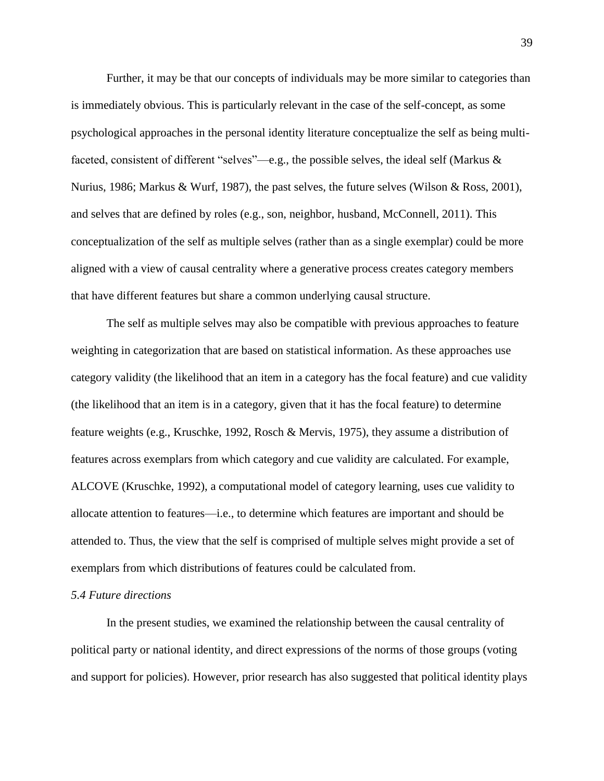Further, it may be that our concepts of individuals may be more similar to categories than is immediately obvious. This is particularly relevant in the case of the self-concept, as some psychological approaches in the personal identity literature conceptualize the self as being multifaceted, consistent of different "selves"—e.g., the possible selves, the ideal self (Markus  $\&$ Nurius, 1986; Markus & Wurf, 1987), the past selves, the future selves (Wilson & Ross, 2001), and selves that are defined by roles (e.g., son, neighbor, husband, McConnell, 2011). This conceptualization of the self as multiple selves (rather than as a single exemplar) could be more aligned with a view of causal centrality where a generative process creates category members that have different features but share a common underlying causal structure.

The self as multiple selves may also be compatible with previous approaches to feature weighting in categorization that are based on statistical information. As these approaches use category validity (the likelihood that an item in a category has the focal feature) and cue validity (the likelihood that an item is in a category, given that it has the focal feature) to determine feature weights (e.g., Kruschke, 1992, Rosch & Mervis, 1975), they assume a distribution of features across exemplars from which category and cue validity are calculated. For example, ALCOVE (Kruschke, 1992), a computational model of category learning, uses cue validity to allocate attention to features—i.e., to determine which features are important and should be attended to. Thus, the view that the self is comprised of multiple selves might provide a set of exemplars from which distributions of features could be calculated from.

### *5.4 Future directions*

In the present studies, we examined the relationship between the causal centrality of political party or national identity, and direct expressions of the norms of those groups (voting and support for policies). However, prior research has also suggested that political identity plays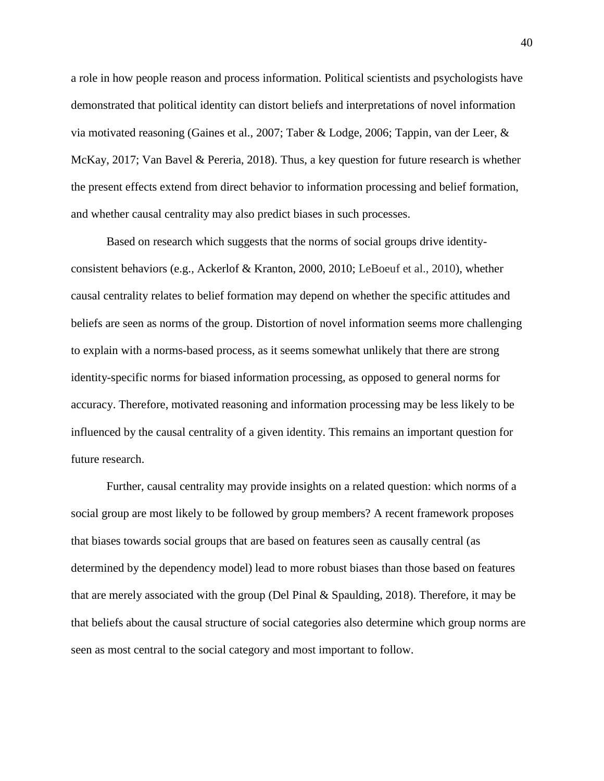a role in how people reason and process information. Political scientists and psychologists have demonstrated that political identity can distort beliefs and interpretations of novel information via motivated reasoning (Gaines et al., 2007; Taber & Lodge, 2006; Tappin, van der Leer, & McKay, 2017; Van Bavel & Pereria, 2018). Thus, a key question for future research is whether the present effects extend from direct behavior to information processing and belief formation, and whether causal centrality may also predict biases in such processes.

Based on research which suggests that the norms of social groups drive identityconsistent behaviors (e.g., Ackerlof & Kranton, 2000, 2010; LeBoeuf et al., 2010), whether causal centrality relates to belief formation may depend on whether the specific attitudes and beliefs are seen as norms of the group. Distortion of novel information seems more challenging to explain with a norms-based process, as it seems somewhat unlikely that there are strong identity-specific norms for biased information processing, as opposed to general norms for accuracy. Therefore, motivated reasoning and information processing may be less likely to be influenced by the causal centrality of a given identity. This remains an important question for future research.

Further, causal centrality may provide insights on a related question: which norms of a social group are most likely to be followed by group members? A recent framework proposes that biases towards social groups that are based on features seen as causally central (as determined by the dependency model) lead to more robust biases than those based on features that are merely associated with the group (Del Pinal & Spaulding, 2018). Therefore, it may be that beliefs about the causal structure of social categories also determine which group norms are seen as most central to the social category and most important to follow.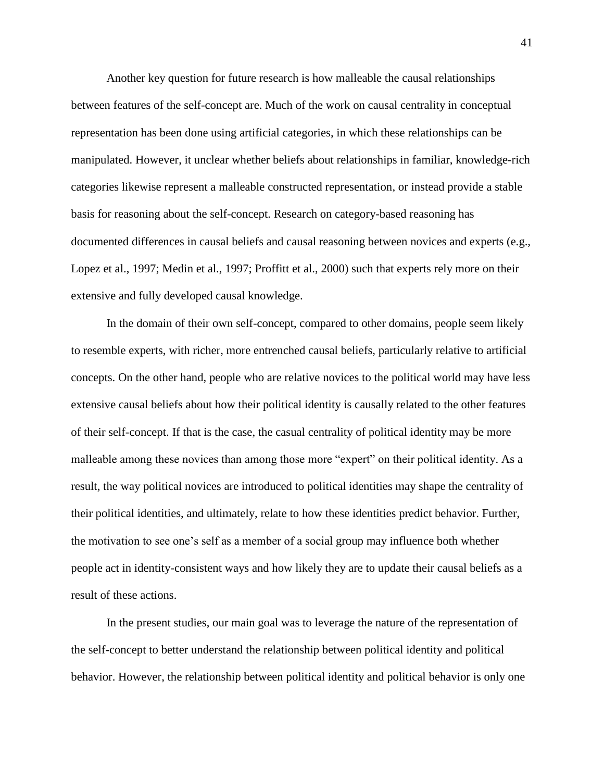Another key question for future research is how malleable the causal relationships between features of the self-concept are. Much of the work on causal centrality in conceptual representation has been done using artificial categories, in which these relationships can be manipulated. However, it unclear whether beliefs about relationships in familiar, knowledge-rich categories likewise represent a malleable constructed representation, or instead provide a stable basis for reasoning about the self-concept. Research on category-based reasoning has documented differences in causal beliefs and causal reasoning between novices and experts (e.g., Lopez et al., 1997; Medin et al., 1997; Proffitt et al., 2000) such that experts rely more on their extensive and fully developed causal knowledge.

In the domain of their own self-concept, compared to other domains, people seem likely to resemble experts, with richer, more entrenched causal beliefs, particularly relative to artificial concepts. On the other hand, people who are relative novices to the political world may have less extensive causal beliefs about how their political identity is causally related to the other features of their self-concept. If that is the case, the casual centrality of political identity may be more malleable among these novices than among those more "expert" on their political identity. As a result, the way political novices are introduced to political identities may shape the centrality of their political identities, and ultimately, relate to how these identities predict behavior. Further, the motivation to see one's self as a member of a social group may influence both whether people act in identity-consistent ways and how likely they are to update their causal beliefs as a result of these actions.

In the present studies, our main goal was to leverage the nature of the representation of the self-concept to better understand the relationship between political identity and political behavior. However, the relationship between political identity and political behavior is only one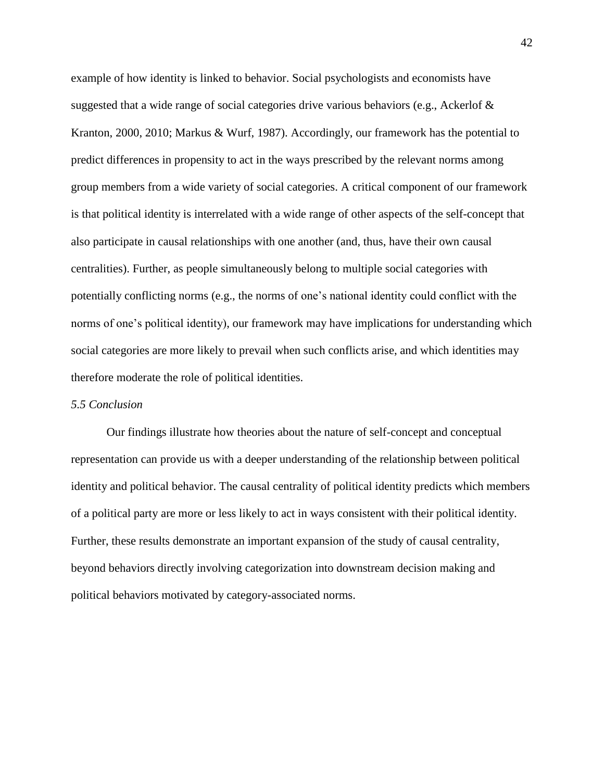example of how identity is linked to behavior. Social psychologists and economists have suggested that a wide range of social categories drive various behaviors (e.g., Ackerlof & Kranton, 2000, 2010; Markus & Wurf, 1987). Accordingly, our framework has the potential to predict differences in propensity to act in the ways prescribed by the relevant norms among group members from a wide variety of social categories. A critical component of our framework is that political identity is interrelated with a wide range of other aspects of the self-concept that also participate in causal relationships with one another (and, thus, have their own causal centralities). Further, as people simultaneously belong to multiple social categories with potentially conflicting norms (e.g., the norms of one's national identity could conflict with the norms of one's political identity), our framework may have implications for understanding which social categories are more likely to prevail when such conflicts arise, and which identities may therefore moderate the role of political identities.

### *5.5 Conclusion*

Our findings illustrate how theories about the nature of self-concept and conceptual representation can provide us with a deeper understanding of the relationship between political identity and political behavior. The causal centrality of political identity predicts which members of a political party are more or less likely to act in ways consistent with their political identity. Further, these results demonstrate an important expansion of the study of causal centrality, beyond behaviors directly involving categorization into downstream decision making and political behaviors motivated by category-associated norms.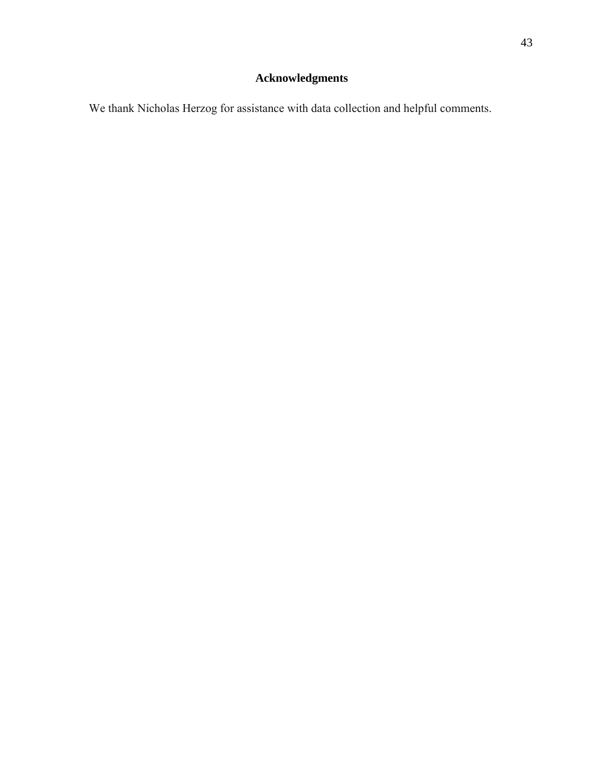We thank Nicholas Herzog for assistance with data collection and helpful comments.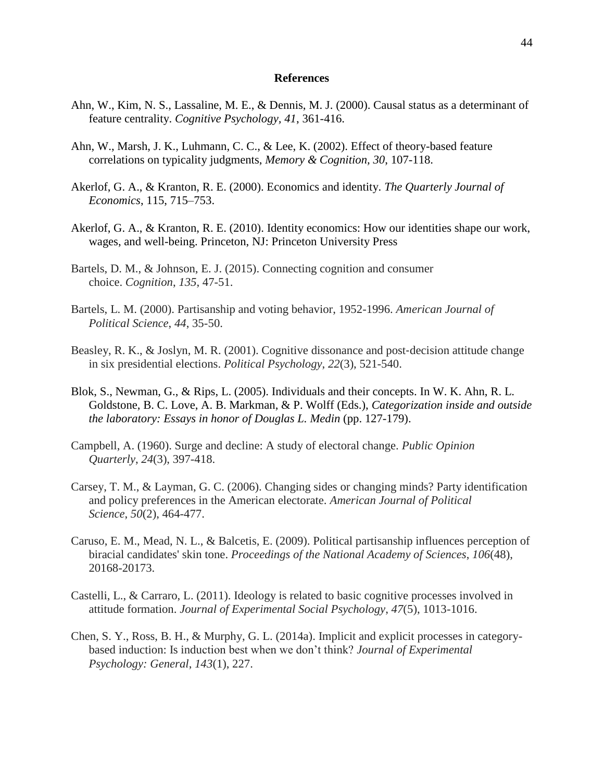#### **References**

- Ahn, W., Kim, N. S., Lassaline, M. E., & Dennis, M. J. (2000). Causal status as a determinant of feature centrality. *Cognitive Psychology, 41*, 361-416.
- Ahn, W., Marsh, J. K., Luhmann, C. C., & Lee, K. (2002). Effect of theory-based feature correlations on typicality judgments, *Memory & Cognition, 30*, 107-118.
- Akerlof, G. A., & Kranton, R. E. (2000). Economics and identity. *The Quarterly Journal of Economics*, 115, 715–753.
- Akerlof, G. A., & Kranton, R. E. (2010). Identity economics: How our identities shape our work, wages, and well-being. Princeton, NJ: Princeton University Press
- Bartels, D. M., & Johnson, E. J. (2015). Connecting cognition and consumer choice. *Cognition*, *135*, 47-51.
- Bartels, L. M. (2000). Partisanship and voting behavior, 1952-1996. *American Journal of Political Science*, *44*, 35-50.
- Beasley, R. K., & Joslyn, M. R. (2001). Cognitive dissonance and post-decision attitude change in six presidential elections. *Political Psychology*, *22*(3), 521-540.
- Blok, S., Newman, G., & Rips, L. (2005). Individuals and their concepts. In W. K. Ahn, R. L. Goldstone, B. C. Love, A. B. Markman, & P. Wolff (Eds.), *Categorization inside and outside the laboratory: Essays in honor of Douglas L. Medin* (pp. 127-179).
- Campbell, A. (1960). Surge and decline: A study of electoral change. *Public Opinion Quarterly*, *24*(3), 397-418.
- Carsey, T. M., & Layman, G. C. (2006). Changing sides or changing minds? Party identification and policy preferences in the American electorate. *American Journal of Political Science*, *50*(2), 464-477.
- Caruso, E. M., Mead, N. L., & Balcetis, E. (2009). Political partisanship influences perception of biracial candidates' skin tone. *Proceedings of the National Academy of Sciences*, *106*(48), 20168-20173.
- Castelli, L., & Carraro, L. (2011). Ideology is related to basic cognitive processes involved in attitude formation. *Journal of Experimental Social Psychology*, *47*(5), 1013-1016.
- Chen, S. Y., Ross, B. H., & Murphy, G. L. (2014a). Implicit and explicit processes in categorybased induction: Is induction best when we don't think? *Journal of Experimental Psychology: General*, *143*(1), 227.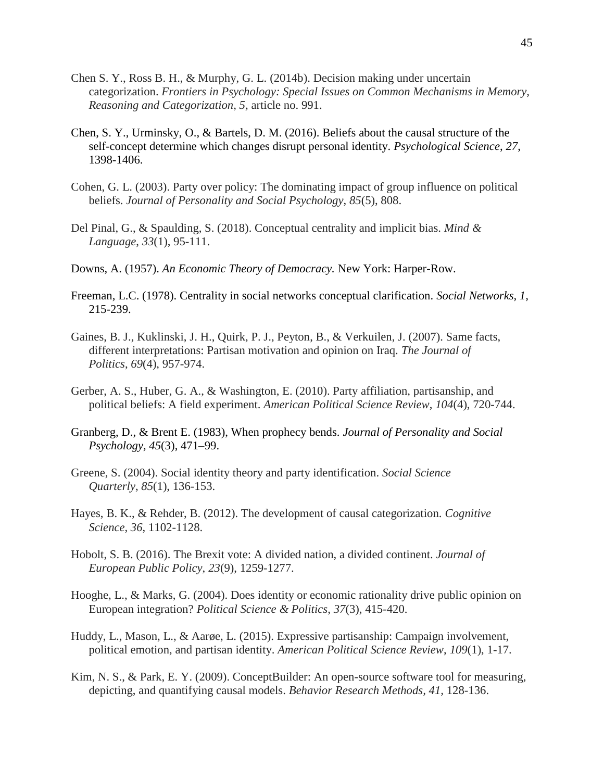- Chen S. Y., Ross B. H., & Murphy, G. L. (2014b). Decision making under uncertain categorization. *Frontiers in Psychology: Special Issues on Common Mechanisms in Memory, Reasoning and Categorization, 5,* article no. 991.
- Chen, S. Y., Urminsky, O., & Bartels, D. M. (2016). Beliefs about the causal structure of the self-concept determine which changes disrupt personal identity. *Psychological Science*, *27*, 1398-1406.
- Cohen, G. L. (2003). Party over policy: The dominating impact of group influence on political beliefs. *Journal of Personality and Social Psychology*, *85*(5), 808.
- Del Pinal, G., & Spaulding, S. (2018). Conceptual centrality and implicit bias. *Mind & Language*, *33*(1), 95-111.
- Downs, A. (1957). *An Economic Theory of Democracy.* New York: Harper-Row.
- Freeman, L.C. (1978). Centrality in social networks conceptual clarification. *Social Networks, 1,*  215-239.
- Gaines, B. J., Kuklinski, J. H., Quirk, P. J., Peyton, B., & Verkuilen, J. (2007). Same facts, different interpretations: Partisan motivation and opinion on Iraq. *The Journal of Politics*, *69*(4), 957-974.
- Gerber, A. S., Huber, G. A., & Washington, E. (2010). Party affiliation, partisanship, and political beliefs: A field experiment. *American Political Science Review*, *104*(4), 720-744.
- Granberg, D., & Brent E. (1983), When prophecy bends. *Journal of Personality and Social Psychology, 45*(3), 471–99.
- Greene, S. (2004). Social identity theory and party identification. *Social Science Quarterly*, *85*(1), 136-153.
- Hayes, B. K., & Rehder, B. (2012). The development of causal categorization. *Cognitive Science*, *36*, 1102-1128.
- Hobolt, S. B. (2016). The Brexit vote: A divided nation, a divided continent. *Journal of European Public Policy*, *23*(9), 1259-1277.
- Hooghe, L., & Marks, G. (2004). Does identity or economic rationality drive public opinion on European integration? *Political Science & Politics*, *37*(3), 415-420.
- Huddy, L., Mason, L., & Aarøe, L. (2015). Expressive partisanship: Campaign involvement, political emotion, and partisan identity. *American Political Science Review*, *109*(1), 1-17.
- Kim, N. S., & Park, E. Y. (2009). ConceptBuilder: An open-source software tool for measuring, depicting, and quantifying causal models. *Behavior Research Methods, 41,* 128-136.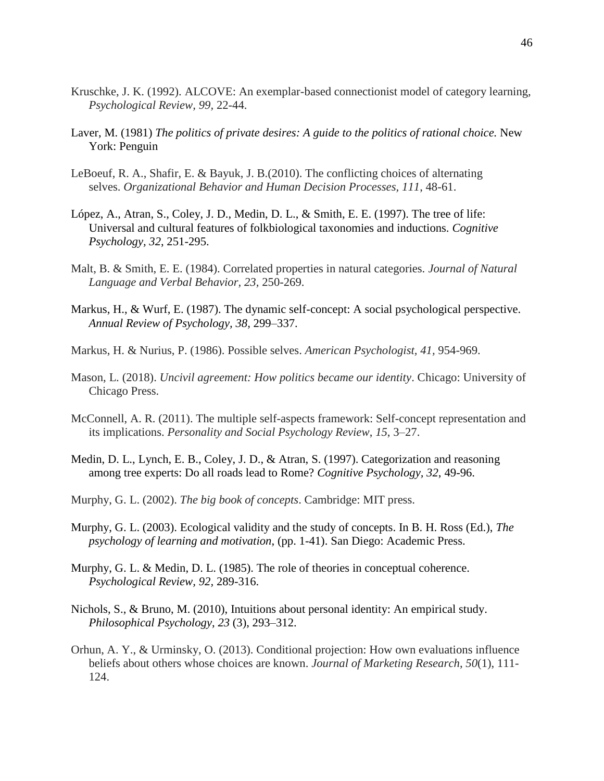- Kruschke, J. K. (1992). ALCOVE: An exemplar-based connectionist model of category learning, *Psychological Review, 99,* 22-44.
- Laver, M. (1981) *The politics of private desires: A guide to the politics of rational choice.* New York: Penguin
- LeBoeuf, R. A., Shafir, E. & Bayuk, J. B.(2010). The conflicting choices of alternating selves. *Organizational Behavior and Human Decision Processes, 111*, 48-61.
- López, A., Atran, S., Coley, J. D., Medin, D. L., & Smith, E. E. (1997). The tree of life: Universal and cultural features of folkbiological taxonomies and inductions. *Cognitive Psychology, 32*, 251-295.
- Malt, B. & Smith, E. E. (1984). Correlated properties in natural categories. *Journal of Natural Language and Verbal Behavior, 23,* 250-269.
- Markus, H., & Wurf, E. (1987). The dynamic self-concept: A social psychological perspective. *Annual Review of Psychology, 38,* 299–337.
- Markus, H. & Nurius, P. (1986). Possible selves. *American Psychologist, 41,* 954-969.
- Mason, L. (2018). *Uncivil agreement: How politics became our identity*. Chicago: University of Chicago Press.
- McConnell, A. R. (2011). The multiple self-aspects framework: Self-concept representation and its implications. *Personality and Social Psychology Review*, *15*, 3–27.
- Medin, D. L., Lynch, E. B., Coley, J. D., & Atran, S. (1997). Categorization and reasoning among tree experts: Do all roads lead to Rome? *Cognitive Psychology, 32*, 49-96.
- Murphy, G. L. (2002). *The big book of concepts*. Cambridge: MIT press.
- Murphy, G. L. (2003). Ecological validity and the study of concepts. In B. H. Ross (Ed.), *The psychology of learning and motivation*, (pp. 1-41). San Diego: Academic Press.
- Murphy, G. L. & Medin, D. L. (1985). The role of theories in conceptual coherence. *Psychological Review, 92,* 289-316.
- Nichols, S., & Bruno, M. (2010), Intuitions about personal identity: An empirical study. *Philosophical Psychology*, *23* (3), 293–312.
- Orhun, A. Y., & Urminsky, O. (2013). Conditional projection: How own evaluations influence beliefs about others whose choices are known. *Journal of Marketing Research*, *50*(1), 111- 124.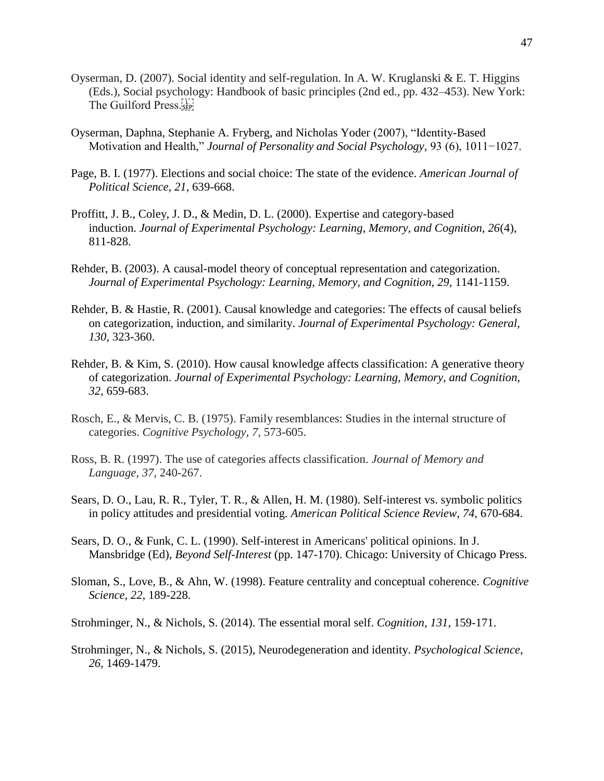- Oyserman, D. (2007). Social identity and self-regulation. In A. W. Kruglanski & E. T. Higgins (Eds.), Social psychology: Handbook of basic principles (2nd ed., pp. 432–453). New York: The Guilford Press.
- Oyserman, Daphna, Stephanie A. Fryberg, and Nicholas Yoder (2007), "Identity-Based Motivation and Health," *Journal of Personality and Social Psychology,* 93 (6), 1011−1027.
- Page, B. I. (1977). Elections and social choice: The state of the evidence. *American Journal of Political Science*, *21*, 639-668.
- Proffitt, J. B., Coley, J. D., & Medin, D. L. (2000). Expertise and category-based induction. *Journal of Experimental Psychology: Learning, Memory, and Cognition, 26*(4), 811-828.
- Rehder, B. (2003). A causal-model theory of conceptual representation and categorization. *Journal of Experimental Psychology: Learning, Memory, and Cognition, 29, 1141-1159.*
- Rehder, B. & Hastie, R. (2001). Causal knowledge and categories: The effects of causal beliefs on categorization, induction, and similarity. *Journal of Experimental Psychology: General, 130,* 323-360.
- Rehder, B. & Kim, S. (2010). How causal knowledge affects classification: A generative theory of categorization. *Journal of Experimental Psychology: Learning, Memory, and Cognition, 32,* 659-683.
- Rosch, E., & Mervis, C. B. (1975). Family resemblances: Studies in the internal structure of categories. *Cognitive Psychology, 7,* 573-605.
- Ross, B. R. (1997). The use of categories affects classification. *Journal of Memory and Language, 37,* 240-267.
- Sears, D. O., Lau, R. R., Tyler, T. R., & Allen, H. M. (1980). Self-interest vs. symbolic politics in policy attitudes and presidential voting. *American Political Science Review*, *74*, 670-684.
- Sears, D. O., & Funk, C. L. (1990). Self-interest in Americans' political opinions. In J. Mansbridge (Ed), *Beyond Self-Interest* (pp. 147-170). Chicago: University of Chicago Press.
- Sloman, S., Love, B., & Ahn, W. (1998). Feature centrality and conceptual coherence. *Cognitive Science, 22,* 189-228.
- Strohminger, N., & Nichols, S. (2014). The essential moral self. *Cognition, 131*, 159-171.
- Strohminger, N., & Nichols, S. (2015), Neurodegeneration and identity. *Psychological Science*, *26,* 1469-1479.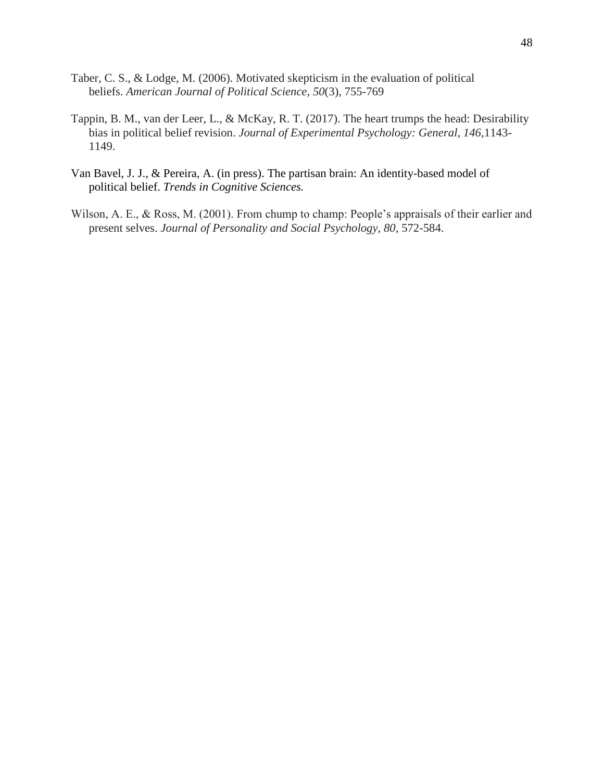- Taber, C. S., & Lodge, M. (2006). Motivated skepticism in the evaluation of political beliefs. *American Journal of Political Science*, *50*(3), 755-769
- Tappin, B. M., van der Leer, L., & McKay, R. T. (2017). The heart trumps the head: Desirability bias in political belief revision. *Journal of Experimental Psychology: General, 146,*1143- 1149.
- Van Bavel, J. J., & Pereira, A. (in press). The partisan brain: An identity-based model of political belief. *Trends in Cognitive Sciences.*
- Wilson, A. E., & Ross, M. (2001). From chump to champ: People's appraisals of their earlier and present selves. *Journal of Personality and Social Psychology, 80, 572-584.*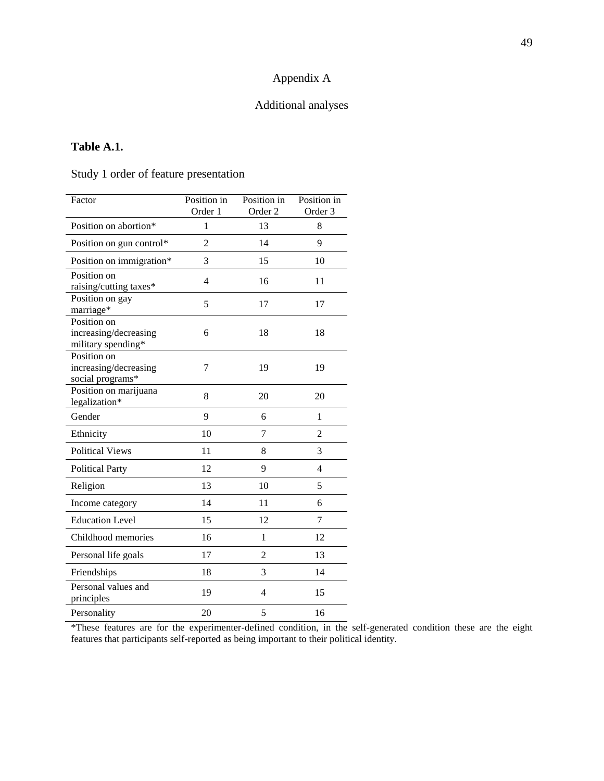# Appendix A

## Additional analyses

## **Table A.1.**

Study 1 order of feature presentation

| Factor                                                     | Position in<br>Order 1 | Position in<br>Order 2 | Position in<br>Order 3 |
|------------------------------------------------------------|------------------------|------------------------|------------------------|
| Position on abortion*                                      | $\mathbf{1}$           | 13                     | 8                      |
| Position on gun control*                                   | $\overline{c}$         | 14                     | 9                      |
| Position on immigration*                                   | 3                      | 15                     | 10                     |
| Position on<br>raising/cutting taxes*                      | 4                      | 16                     | 11                     |
| Position on gay<br>marriage*                               | 5                      | 17                     | 17                     |
| Position on<br>increasing/decreasing<br>military spending* | 6                      | 18                     | 18                     |
| Position on<br>increasing/decreasing<br>social programs*   | 7                      | 19                     | 19                     |
| Position on marijuana<br>legalization*                     | 8                      | 20                     | 20                     |
| Gender                                                     | 9                      | 6                      | $\mathbf{1}$           |
| Ethnicity                                                  | 10                     | 7                      | $\overline{2}$         |
| <b>Political Views</b>                                     | 11                     | 8                      | 3                      |
| <b>Political Party</b>                                     | 12                     | 9                      | 4                      |
| Religion                                                   | 13                     | 10                     | 5                      |
| Income category                                            | 14                     | 11                     | 6                      |
| <b>Education Level</b>                                     | 15                     | 12                     | 7                      |
| Childhood memories                                         | 16                     | $\mathbf{1}$           | 12                     |
| Personal life goals                                        | 17                     | $\overline{2}$         | 13                     |
| Friendships                                                | 18                     | 3                      | 14                     |
| Personal values and<br>principles                          | 19                     | 4                      | 15                     |
| Personality                                                | 20                     | 5                      | 16                     |

\*These features are for the experimenter-defined condition, in the self-generated condition these are the eight features that participants self-reported as being important to their political identity.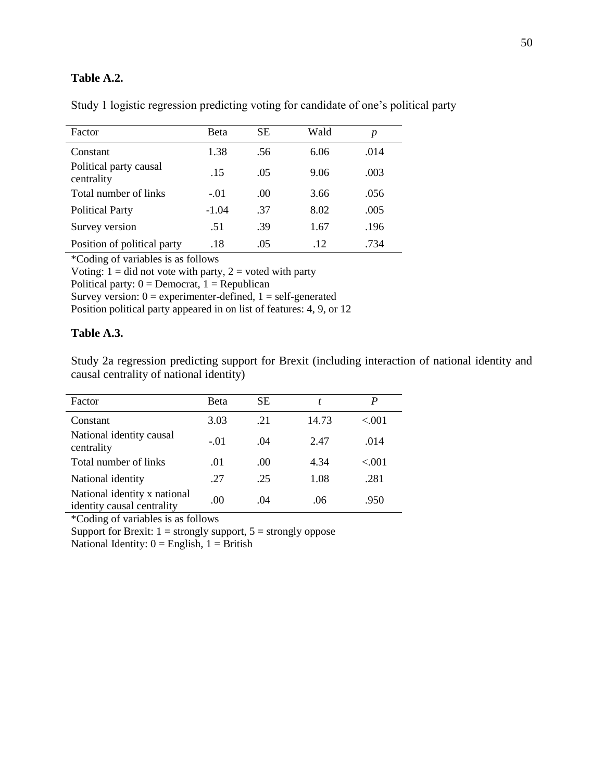## **Table A.2.**

| Factor                               | Beta    | <b>SE</b> | Wald | p    |
|--------------------------------------|---------|-----------|------|------|
| Constant                             | 1.38    | .56       | 6.06 | .014 |
| Political party causal<br>centrality | .15     | .05       | 9.06 | .003 |
| Total number of links                | $-.01$  | .00.      | 3.66 | .056 |
| <b>Political Party</b>               | $-1.04$ | .37       | 8.02 | .005 |
| Survey version                       | .51     | .39       | 1.67 | .196 |
| Position of political party          | .18     | .05       | .12  | .734 |

Study 1 logistic regression predicting voting for candidate of one's political party

\*Coding of variables is as follows

Voting:  $1 =$  did not vote with party,  $2 =$  voted with party

Political party:  $0 =$  Democrat,  $1 =$  Republican

Survey version:  $0 =$  experimenter-defined,  $1 =$  self-generated

Position political party appeared in on list of features: 4, 9, or 12

## **Table A.3.**

Study 2a regression predicting support for Brexit (including interaction of national identity and causal centrality of national identity)

| Factor                                                     | <b>B</b> eta | <b>SE</b> | t     | $\bm{P}$ |
|------------------------------------------------------------|--------------|-----------|-------|----------|
| Constant                                                   | 3.03         | .21       | 14.73 | < 0.01   |
| National identity causal<br>centrality                     | $-.01$       | .04       | 2.47  | .014     |
| Total number of links                                      | .01          | (0)       | 4.34  | $-.001$  |
| National identity                                          | .27          | .25       | 1.08  | .281     |
| National identity x national<br>identity causal centrality | .00          | .04       | .06   | .950     |

\*Coding of variables is as follows

Support for Brexit:  $1 =$  strongly support,  $5 =$  strongly oppose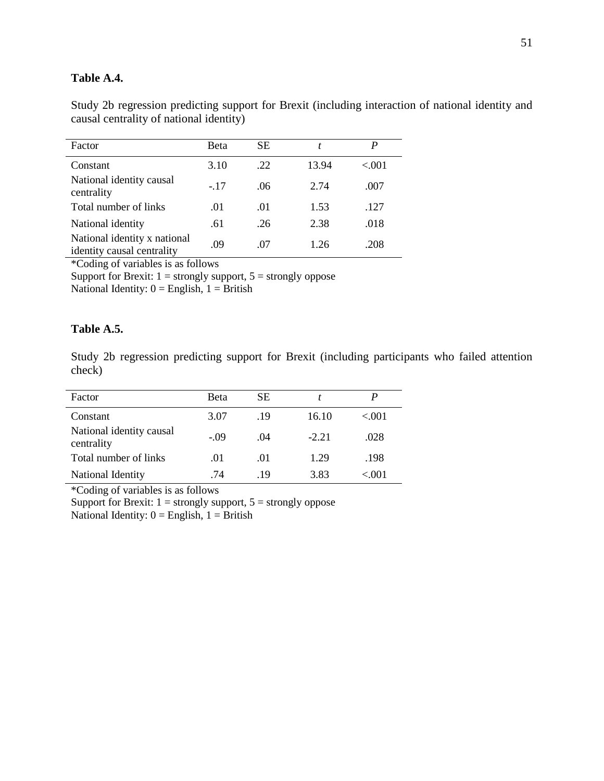## **Table A.4.**

Study 2b regression predicting support for Brexit (including interaction of national identity and causal centrality of national identity)

| Factor                                                     | Beta  | <b>SE</b> |       | P      |
|------------------------------------------------------------|-------|-----------|-------|--------|
| Constant                                                   | 3.10  | .22       | 13.94 | < 0.01 |
| National identity causal<br>centrality                     | $-17$ | .06       | 2.74  | .007   |
| Total number of links                                      | .01   | .01       | 1.53  | .127   |
| National identity                                          | .61   | .26       | 2.38  | .018   |
| National identity x national<br>identity causal centrality | .09   | .07       | 1.26  | .208   |

\*Coding of variables is as follows

Support for Brexit:  $1 =$  strongly support,  $5 =$  strongly oppose National Identity:  $0 =$  English,  $1 =$  British

## **Table A.5.**

Study 2b regression predicting support for Brexit (including participants who failed attention check)

| Factor                                 | <b>Beta</b> | SЕ  |         |         |
|----------------------------------------|-------------|-----|---------|---------|
| Constant                               | 3.07        | .19 | 16.10   | $-.001$ |
| National identity causal<br>centrality | $-.09$      | .04 | $-2.21$ | .028    |
| Total number of links                  | .01         | .01 | 1.29    | .198    |
| National Identity                      | .74         | -19 | 3.83    | < 001   |

\*Coding of variables is as follows

Support for Brexit:  $1 =$  strongly support,  $5 =$  strongly oppose National Identity:  $0 =$  English,  $1 =$  British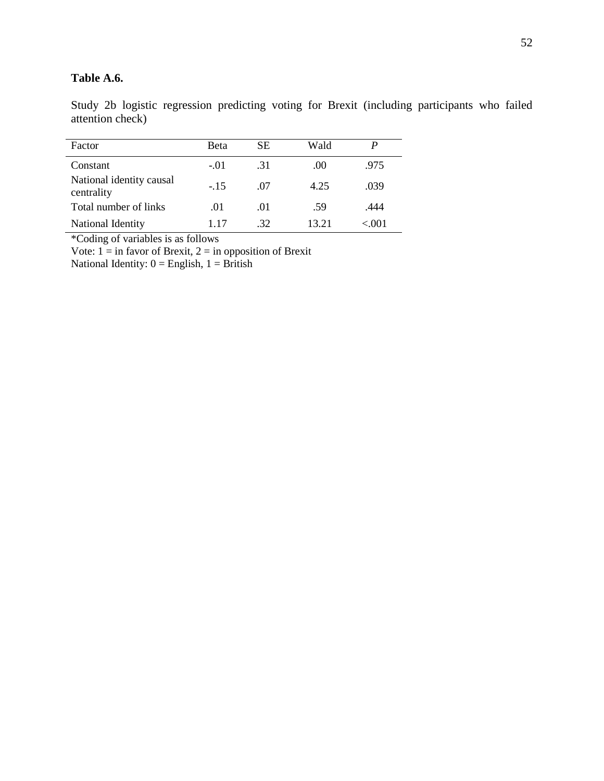## **Table A.6.**

Study 2b logistic regression predicting voting for Brexit (including participants who failed attention check)

| Factor                                 | <b>Beta</b> | SЕ  | Wald  |       |
|----------------------------------------|-------------|-----|-------|-------|
| Constant                               | $-.01$      | -31 | (0)   | .975  |
| National identity causal<br>centrality | $-15$       | -07 | 4.25  | .039  |
| Total number of links                  | .01         | .01 | .59   | .444  |
| National Identity                      | 117         | -32 | 13 21 | < 001 |

\*Coding of variables is as follows

Vote:  $1 = \text{in}$  favor of Brexit,  $2 = \text{in}$  opposition of Brexit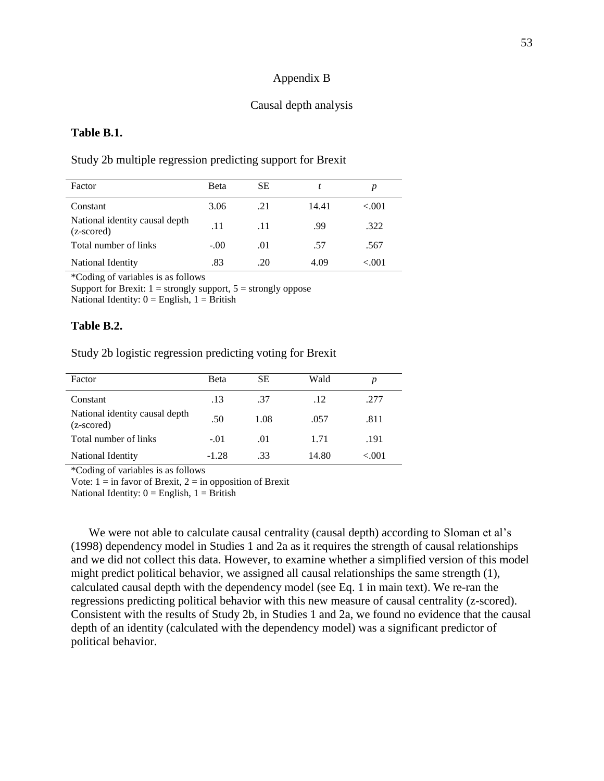### Appendix B

### Causal depth analysis

### **Table B.1.**

### Study 2b multiple regression predicting support for Brexit

| Factor                                       | <b>B</b> eta | SЕ  |       |           |
|----------------------------------------------|--------------|-----|-------|-----------|
| Constant                                     | 3.06         | .21 | 14.41 | < 0.01    |
| National identity causal depth<br>(z-scored) | .11          | .11 | .99   | .322      |
| Total number of links                        | $-.00$       | .01 | .57   | .567      |
| National Identity                            | .83          | .20 | 4.09  | ${<}.001$ |

\*Coding of variables is as follows

Support for Brexit:  $1 =$  strongly support,  $5 =$  strongly oppose

National Identity:  $0 =$  English,  $1 =$  British

### **Table B.2.**

Study 2b logistic regression predicting voting for Brexit

| Factor                                       | Beta    | SЕ   | Wald  | p      |
|----------------------------------------------|---------|------|-------|--------|
| Constant                                     | .13     | .37  | .12   | .277   |
| National identity causal depth<br>(z-scored) | .50     | 1.08 | .057  | .811   |
| Total number of links                        | $-.01$  | .01  | 1.71  | .191   |
| National Identity                            | $-1.28$ | .33  | 14.80 | < 0.01 |

\*Coding of variables is as follows

Vote:  $1 = \text{in favor of Brexit}, 2 = \text{in opposition of Brexit}$ 

National Identity:  $0 =$  English,  $1 =$  British

We were not able to calculate causal centrality (causal depth) according to Sloman et al's (1998) dependency model in Studies 1 and 2a as it requires the strength of causal relationships and we did not collect this data. However, to examine whether a simplified version of this model might predict political behavior, we assigned all causal relationships the same strength (1), calculated causal depth with the dependency model (see Eq. 1 in main text). We re-ran the regressions predicting political behavior with this new measure of causal centrality (z-scored). Consistent with the results of Study 2b, in Studies 1 and 2a, we found no evidence that the causal depth of an identity (calculated with the dependency model) was a significant predictor of political behavior.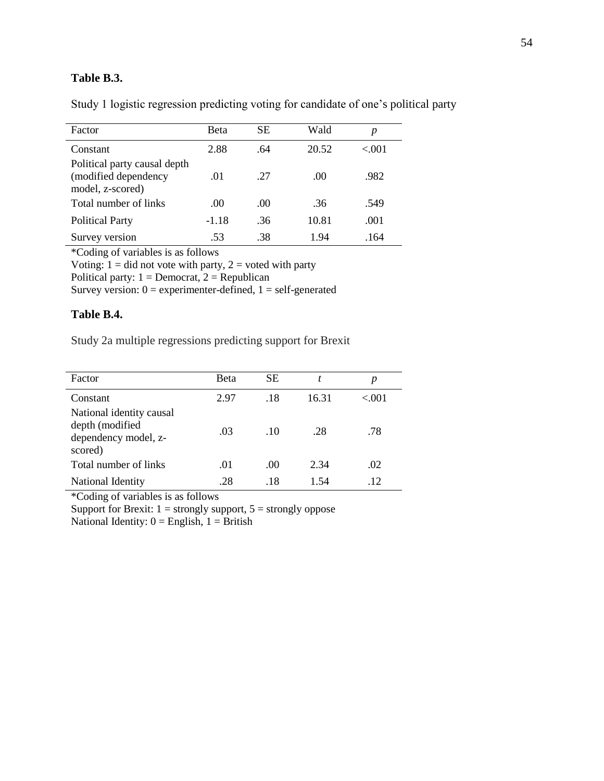## **Table B.3.**

| Factor                                                                   | <b>Beta</b> | SЕ   | Wald  | p      |
|--------------------------------------------------------------------------|-------------|------|-------|--------|
| Constant                                                                 | 2.88        | .64  | 20.52 | < 0.01 |
| Political party causal depth<br>(modified dependency<br>model, z-scored) | .01         | 27   | .00   | .982   |
| Total number of links                                                    | .00.        | .00. | .36   | .549   |
| <b>Political Party</b>                                                   | $-1.18$     | .36  | 10.81 | .001   |
| Survey version                                                           | .53         | .38  | 1.94  | .164   |

Study 1 logistic regression predicting voting for candidate of one's political party

\*Coding of variables is as follows

Voting:  $1 =$  did not vote with party,  $2 =$  voted with party

Political party:  $1 =$ Democrat,  $2 =$ Republican

Survey version:  $0 =$  experimenter-defined,  $1 =$  self-generated

### **Table B.4.**

Study 2a multiple regressions predicting support for Brexit

| Factor                                                                         | Beta | <b>SE</b> |       |        |
|--------------------------------------------------------------------------------|------|-----------|-------|--------|
| Constant                                                                       | 2.97 | .18       | 16.31 | < 0.01 |
| National identity causal<br>depth (modified<br>dependency model, z-<br>scored) | .03  | .10       | .28   | .78    |
| Total number of links                                                          | .01  | .00       | 2.34  | .02    |
| National Identity                                                              | .28  | .18       | 1.54  | .12    |

\*Coding of variables is as follows

Support for Brexit:  $1 =$  strongly support,  $5 =$  strongly oppose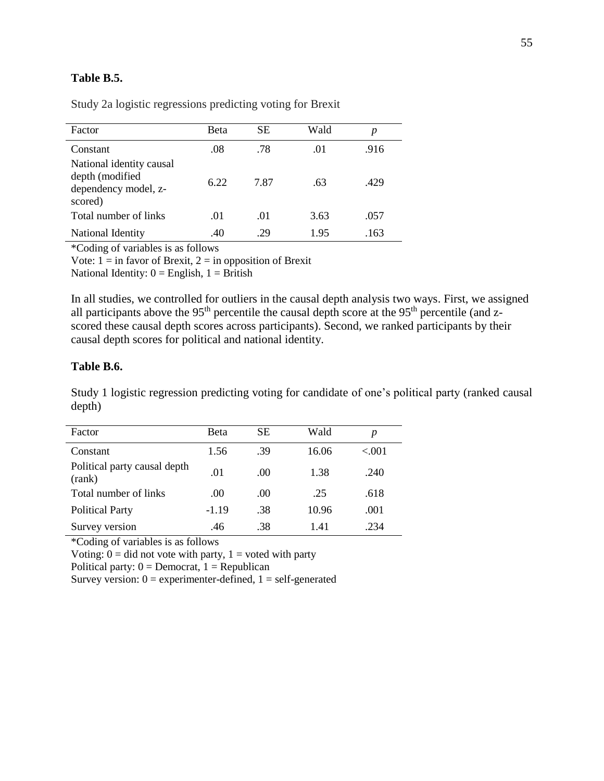## **Table B.5.**

| Factor                                                                         | Beta | <b>SE</b> | Wald | p    |
|--------------------------------------------------------------------------------|------|-----------|------|------|
| Constant                                                                       | .08  | .78       | .01  | .916 |
| National identity causal<br>depth (modified<br>dependency model, z-<br>scored) | 6.22 | 7.87      | .63  | .429 |
| Total number of links                                                          | .01  | .01       | 3.63 | .057 |
| National Identity                                                              | .40  | .29       | 1.95 | .163 |

Study 2a logistic regressions predicting voting for Brexit

\*Coding of variables is as follows

Vote:  $1 = \text{in favor of Brexit}, 2 = \text{in opposition of Brexit}$ 

National Identity:  $0 =$  English,  $1 =$  British

In all studies, we controlled for outliers in the causal depth analysis two ways. First, we assigned all participants above the 95<sup>th</sup> percentile the causal depth score at the 95<sup>th</sup> percentile (and zscored these causal depth scores across participants). Second, we ranked participants by their causal depth scores for political and national identity.

## **Table B.6.**

Study 1 logistic regression predicting voting for candidate of one's political party (ranked causal depth)

| Factor                                 | <b>Beta</b> | <b>SE</b> | Wald  | p      |  |
|----------------------------------------|-------------|-----------|-------|--------|--|
| Constant                               | 1.56        | .39       | 16.06 | < 0.01 |  |
| Political party causal depth<br>(rank) | .01         | .00.      | 1.38  | .240   |  |
| Total number of links                  | .00.        | .00.      | .25   | .618   |  |
| <b>Political Party</b>                 | $-1.19$     | .38       | 10.96 | .001   |  |
| Survey version                         | .46         | .38       | 1.41  | .234   |  |

\*Coding of variables is as follows

Voting:  $0 = \text{did not vote with party}, 1 = \text{voted with party}$ 

Political party:  $0 =$  Democrat,  $1 =$  Republican

Survey version:  $0 =$  experimenter-defined,  $1 =$  self-generated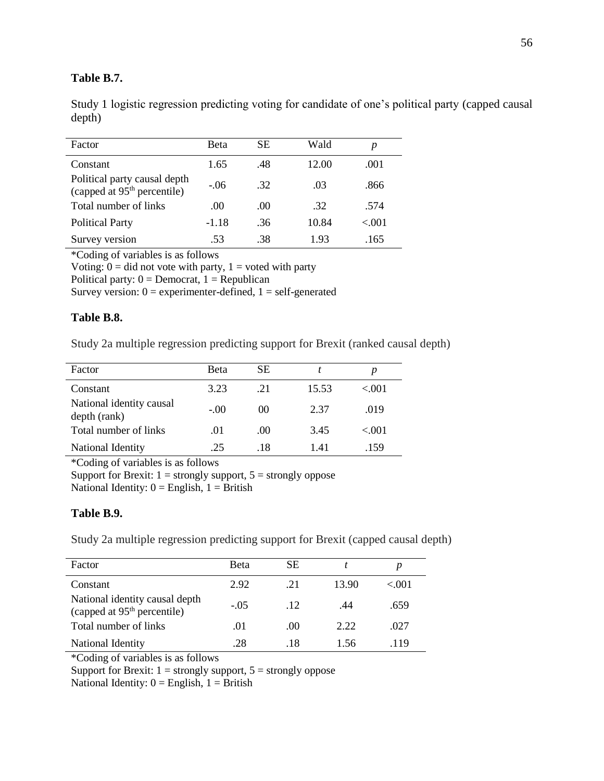## **Table B.7.**

Study 1 logistic regression predicting voting for candidate of one's political party (capped causal depth)

| Factor                                                                  | Beta    | SЕ  | Wald  | p      |
|-------------------------------------------------------------------------|---------|-----|-------|--------|
| Constant                                                                | 1.65    | .48 | 12.00 | .001   |
| Political party causal depth<br>(capped at 95 <sup>th</sup> percentile) | $-.06$  | .32 | .03   | .866   |
| Total number of links                                                   | .00     | .00 | .32   | .574   |
| <b>Political Party</b>                                                  | $-1.18$ | .36 | 10.84 | < 0.01 |
| Survey version                                                          | .53     | .38 | 1.93  | .165   |
|                                                                         |         |     |       |        |

\*Coding of variables is as follows

Voting:  $\overline{0}$  = did not vote with party, 1 = voted with party

Political party:  $0 =$  Democrat,  $1 =$  Republican

Survey version:  $0 =$  experimenter-defined,  $1 =$  self-generated

## **Table B.8.**

Study 2a multiple regression predicting support for Brexit (ranked causal depth)

| Factor                                   | Beta   | SЕ     |       | p       |
|------------------------------------------|--------|--------|-------|---------|
| Constant                                 | 3.23   | .21    | 15.53 | < 0.01  |
| National identity causal<br>depth (rank) | $-.00$ | $($ )( | 2.37  | .019    |
| Total number of links                    | .01    | .00.   | 3.45  | $-.001$ |
| National Identity                        | 25     | .18    | 141   | .159    |

\*Coding of variables is as follows

Support for Brexit:  $1 =$  strongly support,  $5 =$  strongly oppose National Identity:  $0 =$  English,  $1 =$  British

## **Table B.9.**

Study 2a multiple regression predicting support for Brexit (capped causal depth)

| Factor                                                                    | <b>B</b> eta | SЕ              |       |        |
|---------------------------------------------------------------------------|--------------|-----------------|-------|--------|
| Constant                                                                  | 2.92         | 21              | 13.90 | < 0.01 |
| National identity causal depth<br>(capped at 95 <sup>th</sup> percentile) | $-.05$       | $\overline{12}$ | .44   | .659   |
| Total number of links                                                     | .01          | .00             | 2.22  | .027   |
| National Identity                                                         | .28          | .18             | 1.56  | .119   |

\*Coding of variables is as follows

Support for Brexit:  $1 =$  strongly support,  $5 =$  strongly oppose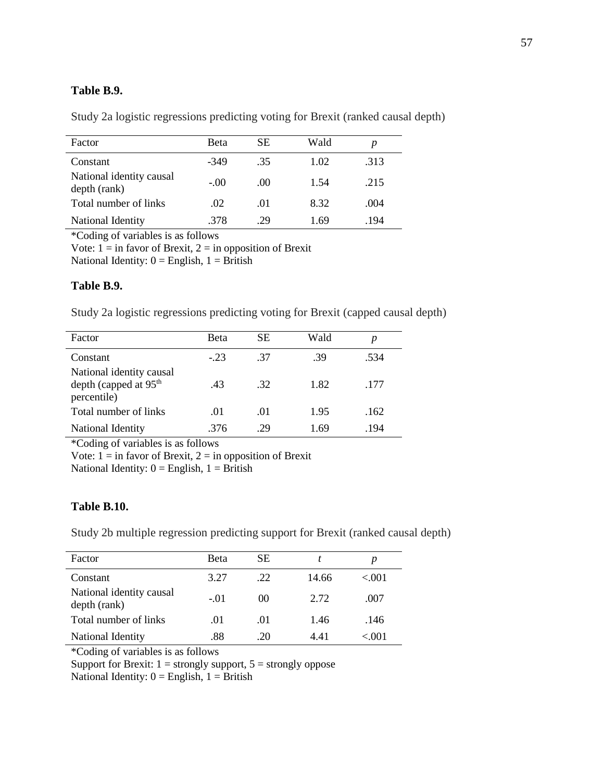## **Table B.9.**

Study 2a logistic regressions predicting voting for Brexit (ranked causal depth)

| Factor                                   | <b>B</b> eta | SE.  | Wald |      |
|------------------------------------------|--------------|------|------|------|
| Constant                                 | -349         | .35  | 1.02 | .313 |
| National identity causal<br>depth (rank) | $-.00$       | .00. | 1.54 | .215 |
| Total number of links                    | .02          | .01  | 8.32 | .004 |
| National Identity                        | .378         | .29  | 1.69 | .194 |

\*Coding of variables is as follows

Vote:  $1 = \text{in favor of Brexit}, 2 = \text{in opposition of Brexit}$ 

National Identity:  $0 =$  English,  $1 =$  British

### **Table B.9.**

Study 2a logistic regressions predicting voting for Brexit (capped causal depth)

| Factor                                                             | <b>B</b> eta | SЕ  | Wald | p    |
|--------------------------------------------------------------------|--------------|-----|------|------|
| Constant                                                           | $-.23$       | -37 | .39  | .534 |
| National identity causal<br>depth (capped at $95th$<br>percentile) | .43          | .32 | 1.82 | .177 |
| Total number of links                                              | .01          | .01 | 1.95 | .162 |
| National Identity                                                  | .376         | .29 | 1.69 | .194 |

\*Coding of variables is as follows

Vote:  $1 = \text{in favor of Brexit}, 2 = \text{in opposition of Brexit}$ 

National Identity:  $0 =$  English,  $1 =$  British

### **Table B.10.**

Study 2b multiple regression predicting support for Brexit (ranked causal depth)

| Factor                                   | <b>Beta</b> | <b>SE</b> |       |           |
|------------------------------------------|-------------|-----------|-------|-----------|
| Constant                                 | 3.27        | .22       | 14.66 | < 0.01    |
| National identity causal<br>depth (rank) | $-.01$      | $($ )(    | 2.72  | .007      |
| Total number of links                    | .01         | .01       | 1.46  | .146      |
| National Identity                        | .88         | .20       | 441   | ${<}.001$ |

\*Coding of variables is as follows

Support for Brexit:  $1 =$  strongly support,  $5 =$  strongly oppose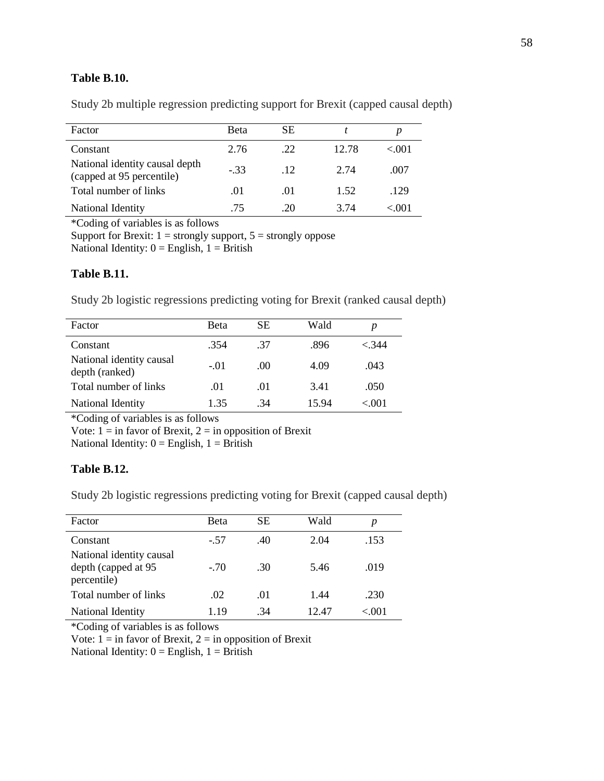## **Table B.10.**

Study 2b multiple regression predicting support for Brexit (capped causal depth)

| Factor                                                      | <b>Beta</b> | SЕ    |       |        |
|-------------------------------------------------------------|-------------|-------|-------|--------|
| Constant                                                    | 2.76        | .22   | 12.78 | < 0.01 |
| National identity causal depth<br>(capped at 95 percentile) | $-33$       | $-12$ | 2.74  | .007   |
| Total number of links                                       | .01         | .01   | 1.52  | .129   |
| National Identity                                           | .75         | -20   | 3 74  | < 001  |

\*Coding of variables is as follows

Support for Brexit:  $1 =$  strongly support,  $5 =$  strongly oppose

National Identity:  $0 =$  English,  $1 =$  British

## **Table B.11.**

Study 2b logistic regressions predicting voting for Brexit (ranked causal depth)

| Factor                                     | <b>Beta</b> | SЕ  | Wald  |        |
|--------------------------------------------|-------------|-----|-------|--------|
| Constant                                   | .354        | -37 | .896  | < 344  |
| National identity causal<br>depth (ranked) | $-.01$      | (0) | 4.09  | .043   |
| Total number of links                      | .01         | .01 | 3.41  | .050   |
| National Identity                          | 1.35        | .34 | 15.94 | < 0.01 |

\*Coding of variables is as follows

Vote:  $1 = \text{in favor of Brexit}, 2 = \text{in opposition of Brexit}$ 

National Identity:  $0 =$  English,  $1 =$  British

## **Table B.12.**

Study 2b logistic regressions predicting voting for Brexit (capped causal depth)

| Factor                                                         | Beta   | SЕ  | Wald  | p     |
|----------------------------------------------------------------|--------|-----|-------|-------|
| Constant                                                       | $-.57$ | .40 | 2.04  | .153  |
| National identity causal<br>depth (capped at 95<br>percentile) | $-.70$ | .30 | 5.46  | .019  |
| Total number of links                                          | .02    | .01 | 1.44  | .230  |
| National Identity                                              | 1.19   | .34 | 12.47 | <.001 |

\*Coding of variables is as follows

Vote:  $1 = \text{in favor of Brexit}, 2 = \text{in opposition of Brexit}$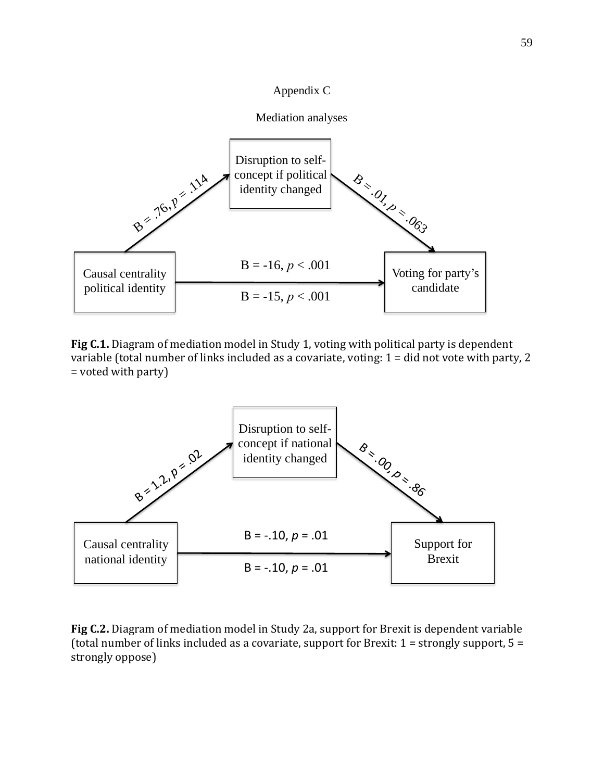



**Fig C.1.** Diagram of mediation model in Study 1, voting with political party is dependent variable (total number of links included as a covariate, voting: 1 = did not vote with party, 2 = voted with party)



**Fig C.2.** Diagram of mediation model in Study 2a, support for Brexit is dependent variable (total number of links included as a covariate, support for Brexit:  $1 =$  strongly support,  $5 =$ strongly oppose)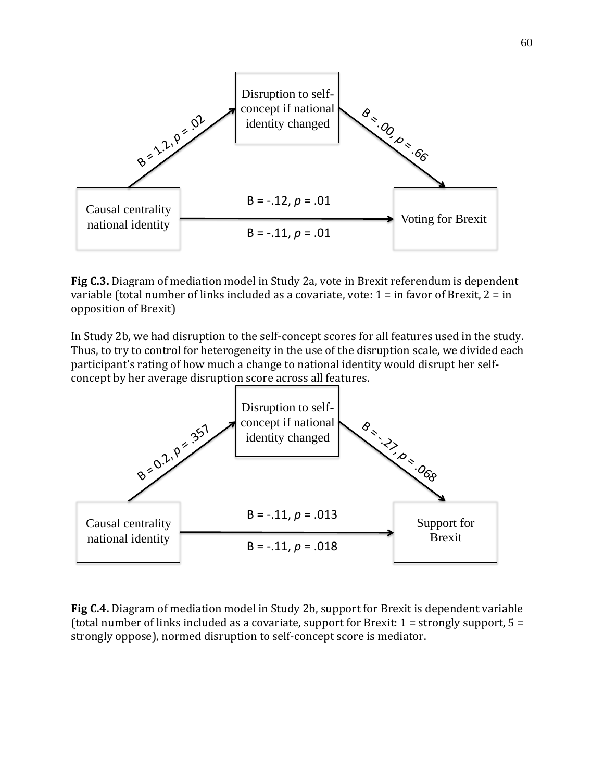

**Fig C.3.** Diagram of mediation model in Study 2a, vote in Brexit referendum is dependent variable (total number of links included as a covariate, vote: 1 = in favor of Brexit, 2 = in opposition of Brexit)

In Study 2b, we had disruption to the self-concept scores for all features used in the study. Thus, to try to control for heterogeneity in the use of the disruption scale, we divided each participant's rating of how much a change to national identity would disrupt her selfconcept by her average disruption score across all features.



**Fig C.4.** Diagram of mediation model in Study 2b, support for Brexit is dependent variable (total number of links included as a covariate, support for Brexit:  $1 =$  strongly support,  $5 =$ strongly oppose), normed disruption to self-concept score is mediator.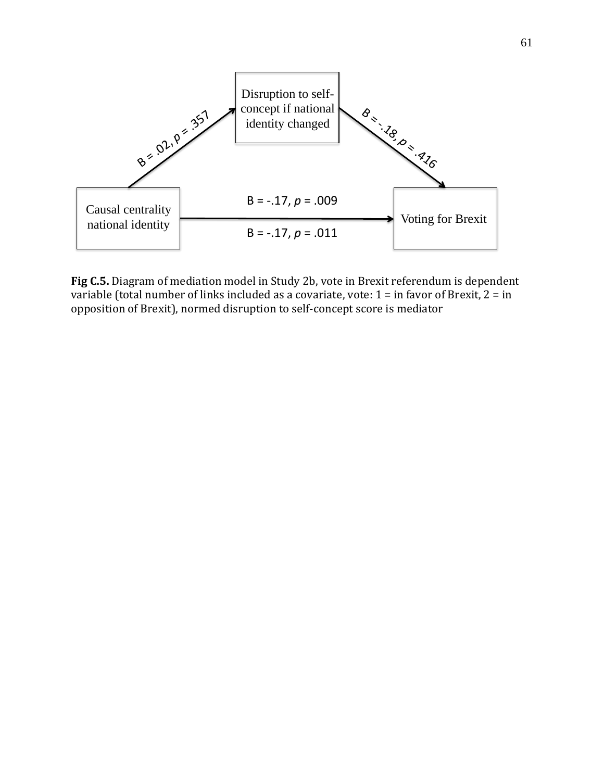

**Fig C.5.** Diagram of mediation model in Study 2b, vote in Brexit referendum is dependent variable (total number of links included as a covariate, vote: 1 = in favor of Brexit, 2 = in opposition of Brexit), normed disruption to self-concept score is mediator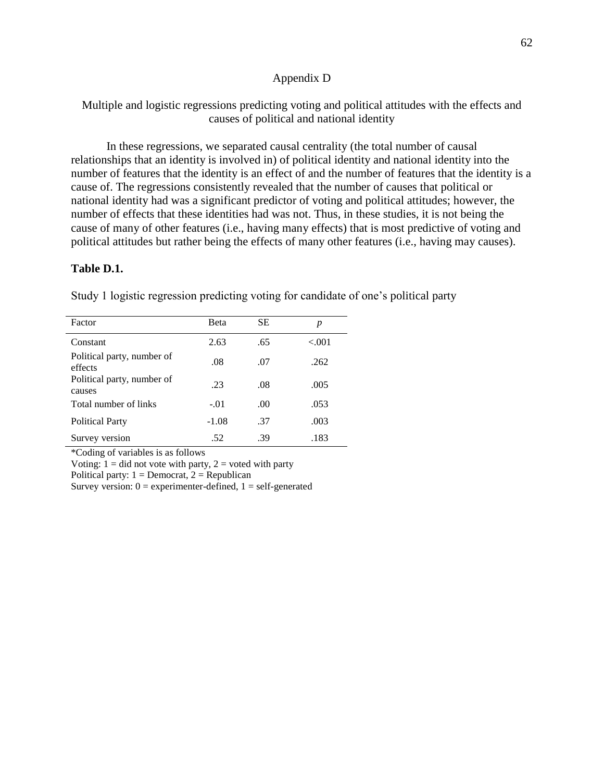### Appendix D

Multiple and logistic regressions predicting voting and political attitudes with the effects and causes of political and national identity

In these regressions, we separated causal centrality (the total number of causal relationships that an identity is involved in) of political identity and national identity into the number of features that the identity is an effect of and the number of features that the identity is a cause of. The regressions consistently revealed that the number of causes that political or national identity had was a significant predictor of voting and political attitudes; however, the number of effects that these identities had was not. Thus, in these studies, it is not being the cause of many of other features (i.e., having many effects) that is most predictive of voting and political attitudes but rather being the effects of many other features (i.e., having may causes).

### **Table D.1.**

Study 1 logistic regression predicting voting for candidate of one's political party

| Factor                                | Beta    | SЕ   | р      |
|---------------------------------------|---------|------|--------|
| Constant                              | 2.63    | .65  | < 0.01 |
| Political party, number of<br>effects | .08     | .07  | .262   |
| Political party, number of<br>causes  | .23     | .08  | .005   |
| Total number of links                 | $-.01$  | .00. | .053   |
| <b>Political Party</b>                | $-1.08$ | .37  | .003   |
| Survey version                        | .52     | .39  | .183   |

\*Coding of variables is as follows

Voting:  $1 =$  did not vote with party,  $2 =$  voted with party

Political party:  $1 =$  Democrat,  $2 =$  Republican

Survey version:  $0 =$  experimenter-defined,  $1 =$  self-generated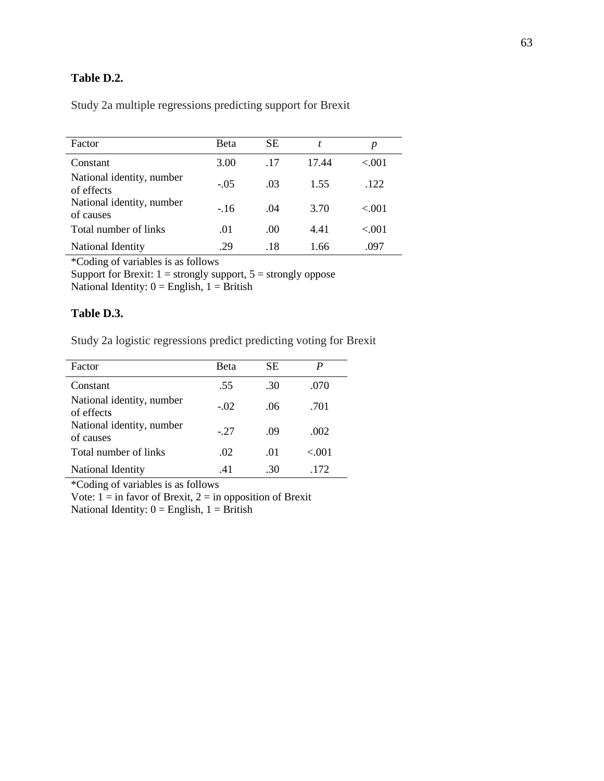## **Table D.2.**

Study 2a multiple regressions predicting support for Brexit

| Factor                                  | <b>Beta</b> | <b>SE</b> | t     | p       |
|-----------------------------------------|-------------|-----------|-------|---------|
| Constant                                | 3.00        | .17       | 17.44 | < 0.01  |
| National identity, number<br>of effects | $-.05$      | .03       | 1.55  | .122    |
| National identity, number<br>of causes  | $-16$       | .04       | 3.70  | $-.001$ |
| Total number of links                   | .01         | $.00 \,$  | 4.41  | < 0.01  |
| National Identity                       | -29         | .18       | 1.66  | .097    |

\*Coding of variables is as follows

Support for Brexit:  $1 =$  strongly support,  $5 =$  strongly oppose National Identity:  $0 =$  English,  $1 =$  British

### **Table D.3.**

Study 2a logistic regressions predict predicting voting for Brexit

| Factor                                  | Beta   | <b>SE</b> |        |
|-----------------------------------------|--------|-----------|--------|
| Constant                                | .55    | .30       | .070   |
| National identity, number<br>of effects | $-.02$ | .06       | .701   |
| National identity, number<br>of causes  | $-27$  | .09       | .002   |
| Total number of links                   | .02    | .01       | < 0.01 |
| National Identity                       | .41    | .30       | .172   |

\*Coding of variables is as follows

Vote:  $1 = \text{in favor of Brexit}, 2 = \text{in opposition of Brexit}$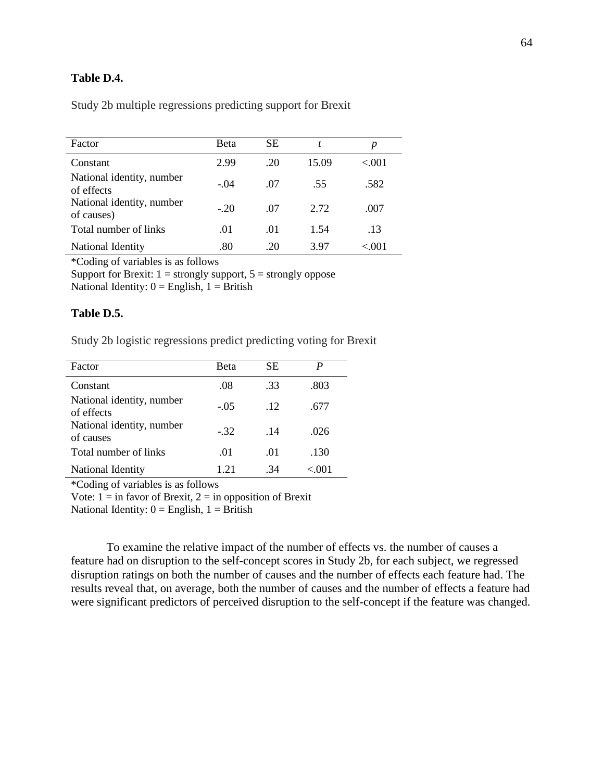## **Table D.4.**

Study 2b multiple regressions predicting support for Brexit

| Factor                                  | <b>Beta</b> | SЕ  |       | р      |
|-----------------------------------------|-------------|-----|-------|--------|
| Constant                                | 2.99        | .20 | 15.09 | < 0.01 |
| National identity, number<br>of effects | $-.04$      | -07 | .55   | .582   |
| National identity, number<br>of causes) | $-20$       | .07 | 2.72  | .007   |
| Total number of links                   | .01         | .01 | 1.54  | .13    |
| National Identity                       | .80         | 20  | 3.97  | < 0.01 |

\*Coding of variables is as follows

Support for Brexit:  $1 =$  strongly support,  $5 =$  strongly oppose National Identity:  $0 =$  English,  $1 =$  British

### **Table D.5.**

Study 2b logistic regressions predict predicting voting for Brexit

| Factor                                  | Beta   | <b>SE</b> | P     |
|-----------------------------------------|--------|-----------|-------|
| Constant                                | .08    | .33       | .803  |
| National identity, number<br>of effects | $-.05$ | .12       | .677  |
| National identity, number<br>of causes  | $-.32$ | .14       | .026  |
| Total number of links                   | .01    | .01       | .130  |
| National Identity                       | 1 21   | -34       | < 001 |

\*Coding of variables is as follows

Vote:  $1 = \text{in favor of Brexit}, 2 = \text{in opposition of Brexit}$ 

National Identity:  $0 =$  English,  $1 =$  British

To examine the relative impact of the number of effects vs. the number of causes a feature had on disruption to the self-concept scores in Study 2b, for each subject, we regressed disruption ratings on both the number of causes and the number of effects each feature had. The results reveal that, on average, both the number of causes and the number of effects a feature had were significant predictors of perceived disruption to the self-concept if the feature was changed.